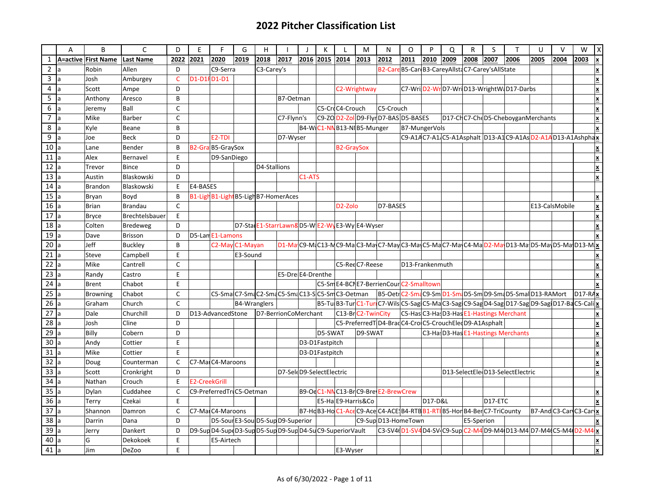## **2022 Pitcher Classification List**

|                 | A              | B                   | $\mathsf{C}$     | D            | E                    | F                                                          | G                   | H            |                          |           | K              |                      | M                                          | N                                                                               | $\Omega$                                         | P       | Q    | R          | S       | $\mathsf{T}$                                                                                  | U    | $\vee$                     | W    |                                       |
|-----------------|----------------|---------------------|------------------|--------------|----------------------|------------------------------------------------------------|---------------------|--------------|--------------------------|-----------|----------------|----------------------|--------------------------------------------|---------------------------------------------------------------------------------|--------------------------------------------------|---------|------|------------|---------|-----------------------------------------------------------------------------------------------|------|----------------------------|------|---------------------------------------|
| 1               |                | A=active First Name | <b>Last Name</b> | 2022         | 2021                 | 2020                                                       | 2019                | 2018         | 2017                     | 2016 2015 |                | 2014                 | 2013                                       | 2012                                                                            | 2011                                             | 2010    | 2009 | 2008       | 2007    | 2006                                                                                          | 2005 | 2004                       | 2003 |                                       |
| $\overline{2}$  |                | Robin               | Allen            | D            |                      | C9-Serra                                                   |                     | C3-Carey's   |                          |           |                |                      |                                            |                                                                                 | B2-Care B5-Car B3-CareyAllsta C7-Carey'sAllState |         |      |            |         |                                                                                               |      |                            |      |                                       |
| 3               | <b>l</b> a     | Josh                | Amburgey         | C.           | D1-D1FD1-D1          |                                                            |                     |              |                          |           |                |                      |                                            |                                                                                 |                                                  |         |      |            |         |                                                                                               |      |                            |      | X                                     |
| 4               | la             | Scott               | Ampe             | D            |                      |                                                            |                     |              |                          |           |                |                      | C2-Wrightway                               |                                                                                 |                                                  |         |      |            |         | C7-Wri D2-Wr D7-Wri D13-WrightW D17-Darbs                                                     |      |                            |      |                                       |
| $\overline{5}$  | Ia             | Anthony             | Aresco           | B            |                      |                                                            |                     |              | B7-Oetman                |           |                |                      |                                            |                                                                                 |                                                  |         |      |            |         |                                                                                               |      |                            |      | $\boldsymbol{\mathsf{x}}$             |
| 6               | a              | Jeremy              | Ball             | C            |                      |                                                            |                     |              |                          |           |                | C5-CrdC4-Crouch      |                                            | C5-Crouch                                                                       |                                                  |         |      |            |         |                                                                                               |      |                            |      | $\overline{\mathbf{x}}$               |
| $\overline{7}$  | a              | Mike                | <b>Barber</b>    | $\mathsf{C}$ |                      |                                                            |                     |              | C7-Flynn's               |           |                |                      |                                            | C9-ZO D2-Zol D9-Flyr D7-BAS D5-BASES                                            |                                                  |         |      |            |         | D17-CHC7-CheD5-CheboyganMerchants                                                             |      |                            |      | $\underline{\mathbf{x}}$              |
| 8               | <sup>a</sup>   | Kyle                | Beane            | B            |                      |                                                            |                     |              |                          |           |                |                      | B4-W C1-NN B13-NI B5-Munger                |                                                                                 | B7-MungerVols                                    |         |      |            |         |                                                                                               |      |                            |      |                                       |
| 9               | la             | Joe                 | <b>Beck</b>      | D            |                      | E <sub>2</sub> -TDI                                        |                     |              | D7-Wyser                 |           |                |                      |                                            |                                                                                 |                                                  |         |      |            |         | C9-A14C7-A1 <sub>(C5-A1Asphalt</sub> D13-A1C9-A1As D2-A1AD13-A1Ashphax                        |      |                            |      |                                       |
| 10              | la             | Lane                | Bender           | B            |                      | B2-GraB5-GraySox                                           |                     |              |                          |           |                | <b>B2-GraySox</b>    |                                            |                                                                                 |                                                  |         |      |            |         |                                                                                               |      |                            |      |                                       |
| 11              | la             | Alex                | Bernavel         | E            |                      | D9-SanDiego                                                |                     |              |                          |           |                |                      |                                            |                                                                                 |                                                  |         |      |            |         |                                                                                               |      |                            |      | $\pmb{\times}$                        |
| 12              | la             | Trevor              | Bince            | D            |                      |                                                            |                     | D4-Stallions |                          |           |                |                      |                                            |                                                                                 |                                                  |         |      |            |         |                                                                                               |      |                            |      | $\boldsymbol{\underline{\mathsf{x}}}$ |
| 13              | Ia             | Austin              | Blaskowski       | D            |                      |                                                            |                     |              |                          | C1-ATS    |                |                      |                                            |                                                                                 |                                                  |         |      |            |         |                                                                                               |      |                            |      | X                                     |
| 14              | a              | <b>Brandon</b>      | Blaskowski       | E            | E4-BASES             |                                                            |                     |              |                          |           |                |                      |                                            |                                                                                 |                                                  |         |      |            |         |                                                                                               |      |                            |      |                                       |
| 15              |                | Bryan               | Boyd             | B            |                      | B1-Ligh B1-Light B5-Ligh B7-HomerAces                      |                     |              |                          |           |                |                      |                                            |                                                                                 |                                                  |         |      |            |         |                                                                                               |      |                            |      |                                       |
| 16              | $\overline{a}$ | <b>Brian</b>        | Brandau          | $\mathsf{C}$ |                      |                                                            |                     |              |                          |           |                | D <sub>2</sub> -Zolo |                                            | D7-BASES                                                                        |                                                  |         |      |            |         |                                                                                               |      | E13-CalsMobile             |      |                                       |
| 17              | la             | <b>Bryce</b>        | Brechtelsbauer   | E            |                      |                                                            |                     |              |                          |           |                |                      |                                            |                                                                                 |                                                  |         |      |            |         |                                                                                               |      |                            |      |                                       |
| 18              | Ia             | Colten              | Bredeweg         | D            |                      |                                                            |                     |              |                          |           |                |                      | D7-StalE1-StarrLawn8D5-WE2-WyE3-WyE4-Wyser |                                                                                 |                                                  |         |      |            |         |                                                                                               |      |                            |      |                                       |
| 19              |                | Dave                | Brisson          | D            |                      | D5-Lan E1-Lamons                                           |                     |              |                          |           |                |                      |                                            |                                                                                 |                                                  |         |      |            |         |                                                                                               |      |                            |      |                                       |
| 20              | a              | <b>Jeff</b>         | <b>Buckley</b>   | B            |                      | C2-May C1-Mayan                                            |                     |              |                          |           |                |                      |                                            |                                                                                 |                                                  |         |      |            |         |                                                                                               |      |                            |      |                                       |
| $\overline{21}$ | <b>l</b> a     | Steve               | Campbell         | E            |                      |                                                            | E3-Sound            |              |                          |           |                |                      |                                            |                                                                                 |                                                  |         |      |            |         |                                                                                               |      |                            |      |                                       |
| $22$ a          |                | Mike                | Cantrell         | $\mathsf{C}$ |                      |                                                            |                     |              |                          |           |                |                      | C5-RedC7-Reese                             |                                                                                 | D13-Frankenmuth                                  |         |      |            |         |                                                                                               |      |                            |      |                                       |
| $\overline{23}$ | <sup>a</sup>   | Randy               | Castro           | E            |                      |                                                            |                     |              | E5-Dre E4-Drenthe        |           |                |                      |                                            |                                                                                 |                                                  |         |      |            |         |                                                                                               |      |                            |      |                                       |
| $\overline{24}$ | <sup>a</sup>   | <b>Brent</b>        | Chabot           | E            |                      |                                                            |                     |              |                          |           |                |                      |                                            | C5-Sm E4-BCN E7-BerrienCour C2-Smalltown                                        |                                                  |         |      |            |         |                                                                                               |      |                            |      |                                       |
| $\overline{25}$ | la             | <b>Browning</b>     | Chabot           | C            |                      | C5-SmaC7-SmaC2-SmaC5-SmaC13-SC5-SmC3-Oetman                |                     |              |                          |           |                |                      |                                            |                                                                                 |                                                  |         |      |            |         | B5-OetrC2-SmaC9-Sm D1-SmaD5-Sm D9-SmaD5-SmalD13-RAMort D17-RAX                                |      |                            |      |                                       |
| 26 a            |                | Graham              | Church           | $\mathsf{C}$ |                      |                                                            | <b>B4-Wranglers</b> |              |                          |           |                |                      |                                            |                                                                                 |                                                  |         |      |            |         | B5-Tu B3-Tur C1-Tur C7-Wils C5-Sag C5-Ma C3-Sag C9-Sag D4-Sag D17-Sag D9-Sag D17-Ba C5-Cali x |      |                            |      |                                       |
| $\overline{27}$ | la             | Dale                | Churchill        | D            |                      | D13-AdvancedStone                                          |                     |              | D7-BerrionCoMerchant     |           |                |                      | C13-Br C2-TwinCity                         |                                                                                 |                                                  |         |      |            |         | C5-Has C3-Has D3-Has E1-Hastings Merchant                                                     |      |                            |      |                                       |
| 28              | Ia             | Josh                | Cline            | D            |                      |                                                            |                     |              |                          |           |                |                      |                                            | C5-PreferredT D4-Brad C4-Cro C5-CrouchEled D9-A1Asphalt                         |                                                  |         |      |            |         |                                                                                               |      |                            |      | $\pmb{\times}$                        |
| $\overline{29}$ | Ia             | Billy               | Cobern           | D            |                      |                                                            |                     |              |                          |           | D5-SWAT        |                      | D9-SWAT                                    |                                                                                 |                                                  |         |      |            |         | C3-Ha D3-Has E1-Hastings Merchants                                                            |      |                            |      | X                                     |
| 30 a            |                | Andy                | Cottier          | E            |                      |                                                            |                     |              |                          |           | D3-D1Fastpitch |                      |                                            |                                                                                 |                                                  |         |      |            |         |                                                                                               |      |                            |      |                                       |
| 31              | <sub>a</sub>   | Mike                | Cottier          | E            |                      |                                                            |                     |              |                          |           | D3-D1Fastpitch |                      |                                            |                                                                                 |                                                  |         |      |            |         |                                                                                               |      |                            |      | X                                     |
| $\overline{32}$ |                | Doug                | Counterman       | C            |                      | C7-MaiC4-Maroons                                           |                     |              |                          |           |                |                      |                                            |                                                                                 |                                                  |         |      |            |         |                                                                                               |      |                            |      |                                       |
| $\overline{33}$ | $\overline{a}$ | Scott               | Cronkright       | D.           |                      |                                                            |                     |              | D7-SeleD9-SelectElectric |           |                |                      |                                            |                                                                                 |                                                  |         |      |            |         | D13-SelectEle D13-SelectElectric                                                              |      |                            |      | x                                     |
| 34              | Ia             | Nathan              | Crouch           | E            | <b>E2-CreekGrill</b> |                                                            |                     |              |                          |           |                |                      |                                            |                                                                                 |                                                  |         |      |            |         |                                                                                               |      |                            |      |                                       |
| 35              | Ia             | Dylan               | Cuddahee         | $\mathsf{C}$ |                      | C9-PreferredTriC5-Oetman                                   |                     |              |                          |           |                |                      |                                            | B9-Oc C1-NN C13-Br C9-Bre E2-Brew Crew                                          |                                                  |         |      |            |         |                                                                                               |      |                            |      |                                       |
| 36              |                | Terry               | Czekai           | E            |                      |                                                            |                     |              |                          |           |                |                      | E5-Ha E9-Harris&Co                         |                                                                                 |                                                  | D17-D&L |      |            | D17-ETC |                                                                                               |      |                            |      |                                       |
| 37              | a              | Shannon             | Damron           | $\mathsf{C}$ |                      | C7-MailC4-Maroons                                          |                     |              |                          |           |                |                      |                                            | B7-HgB3-HgC1-AceC9-AceC4-ACE984-RTB <mark>B1-RT</mark> B5-HorB4-BerC7-TriCounty |                                                  |         |      |            |         |                                                                                               |      | $ B7-And C3-Can C3-Can x $ |      |                                       |
| 38              | a              | Darrin              | Dana             | D.           |                      | D5-Sour E3-Soul D5-Sup D9-Superior                         |                     |              |                          |           |                |                      |                                            | C9-SupDD13-HomeTown                                                             |                                                  |         |      | E5-Sperion |         |                                                                                               |      |                            |      |                                       |
| $39$ a          |                | Jerry               | Dankert          | D            |                      | D9-Sup D4-Sup D3-Sup D5-Sup D9-Sup D4-Su C9-Superior Vault |                     |              |                          |           |                |                      |                                            |                                                                                 |                                                  |         |      |            |         | C3-SV4 01-SV4 D4-SV C9-Sup C2-M4 D9-M4 D13-M4 D7-M4 C5-M4 D2-M4 x                             |      |                            |      |                                       |
| 40              |                | G                   | Dekokoek         | E            |                      | E5-Airtech                                                 |                     |              |                          |           |                |                      |                                            |                                                                                 |                                                  |         |      |            |         |                                                                                               |      |                            |      | $\pmb{\times}$                        |
| $41$ a          |                | Jim                 | DeZoo            | E            |                      |                                                            |                     |              |                          |           |                | E3-Wyser             |                                            |                                                                                 |                                                  |         |      |            |         |                                                                                               |      |                            |      | x                                     |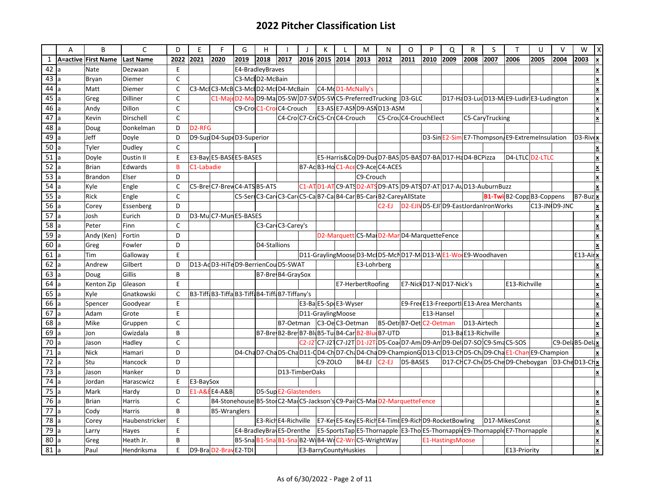|                 | A | B                   | $\mathsf{C}$     | D              | E                   | F                                                                       | G                       | H                     |                | $\mathbf{I}$ | К              |                              | M           | N                                                                           | $\circ$                | P          | Q                | R                   | S                                        | T                                                                                                    | $\cup$ | $\vee$        | W                                 | X |
|-----------------|---|---------------------|------------------|----------------|---------------------|-------------------------------------------------------------------------|-------------------------|-----------------------|----------------|--------------|----------------|------------------------------|-------------|-----------------------------------------------------------------------------|------------------------|------------|------------------|---------------------|------------------------------------------|------------------------------------------------------------------------------------------------------|--------|---------------|-----------------------------------|---|
| $\mathbf{1}$    |   | A=active First Name | <b>Last Name</b> | 2022           | 2021                | 2020                                                                    | 2019                    | 2018                  | 2017           |              | 2016 2015 2014 |                              | 2013        | 2012                                                                        | 2011                   | 2010       | 2009             | 2008                | 2007                                     | 2006                                                                                                 | 2005   | 2004          | 2003                              |   |
| 42              |   | Nate                | Dezwaan          | E              |                     |                                                                         | E4-BradleyBraves        |                       |                |              |                |                              |             |                                                                             |                        |            |                  |                     |                                          |                                                                                                      |        |               |                                   |   |
| 43              |   | Bryan               | Diemer           | $\mathsf{C}$   |                     |                                                                         | C3-McID2-McBain         |                       |                |              |                |                              |             |                                                                             |                        |            |                  |                     |                                          |                                                                                                      |        |               |                                   |   |
| $44$ a          |   | Matt                | Diemer           | $\mathsf C$    |                     | C3-MclC3-McBC3-MclD2-MclD4-McBain                                       |                         |                       |                |              |                | C4-MoD1-McNally's            |             |                                                                             |                        |            |                  |                     |                                          |                                                                                                      |        |               |                                   |   |
| 45a             |   | Greg                | Dilliner         | $\mathsf{C}$   |                     | C1-MajoD2-MajD9-MajD5-SWD7-SVD5-SWC5-PreferredTrucking D3-GLC           |                         |                       |                |              |                |                              |             |                                                                             |                        |            |                  |                     |                                          | D17-HaD3-LudD13-M E9-Ludir E3-Ludington                                                              |        |               |                                   | X |
| 46              |   | Andy                | Dillon           | $\mathsf{C}$   |                     |                                                                         | C9-Cro C1-Cro C4-Crouch |                       |                |              |                |                              |             | E3-AS E7-ASN D9-ASN D13-ASM                                                 |                        |            |                  |                     |                                          |                                                                                                      |        |               |                                   |   |
| $\overline{47}$ |   | Kevin               | Dirschell        | $\mathsf{C}$   |                     |                                                                         |                         |                       |                |              |                | C4-Cro C7-Cr C5-Cr C4-Crouch |             | C5-CrouC4-CrouchElect                                                       |                        |            |                  |                     | C5-CaryTrucking                          |                                                                                                      |        |               |                                   | X |
| 48a             |   | Doug                | Donkelman        | D              | D <sub>2</sub> -RFG |                                                                         |                         |                       |                |              |                |                              |             |                                                                             |                        |            |                  |                     |                                          |                                                                                                      |        |               |                                   |   |
| 49              |   | Jeff                | Doyle            | D              |                     | D9-Sup D4-Sup D3-Superior                                               |                         |                       |                |              |                |                              |             |                                                                             |                        |            |                  |                     |                                          | D3-Sin E2-Sim E7-Thompson E9-Extremelnsulation                                                       |        |               | $D3-Riv(x)$                       |   |
| 50 a            |   | Tyler               | Dudley           | $\mathsf{C}$   |                     |                                                                         |                         |                       |                |              |                |                              |             |                                                                             |                        |            |                  |                     |                                          |                                                                                                      |        |               |                                   |   |
| 51              |   | Doyle               | Dustin II        | E              |                     | E3-Bay E5-BASE E5-BASES                                                 |                         |                       |                |              |                |                              |             | E5-Harris&CoD9-DusD7-BASD5-BASD7-BAD17-HaD4-BCPizza                         |                        |            |                  |                     |                                          | D4-LTLCD2-LTLC                                                                                       |        |               |                                   |   |
| 52              |   | <b>Brian</b>        | Edwards          | B              | C1-Labadie          |                                                                         |                         |                       |                |              |                |                              |             | B7-Ac B3-Ho C1-Ace C9-Ace C4-ACES                                           |                        |            |                  |                     |                                          |                                                                                                      |        |               |                                   |   |
| 53 a            |   | <b>Brandon</b>      | Elser            | D              |                     |                                                                         |                         |                       |                |              |                |                              | C9-Crouch   |                                                                             |                        |            |                  |                     |                                          |                                                                                                      |        |               |                                   |   |
| 54a             |   | Kyle                | Engle            | $\mathsf{C}$   |                     | C5-Bre C7-Brev C4-ATS B5-ATS                                            |                         |                       |                |              |                |                              |             | C1-ATD1-ATC9-ATSD2-ATSD9-ATSD9-ATSD7-ATD17-AUD13-AuburnBuzz                 |                        |            |                  |                     |                                          |                                                                                                      |        |               |                                   |   |
| 55a             |   | Rick                | Engle            | $\mathsf{C}$   |                     |                                                                         |                         |                       |                |              |                |                              |             | C5-SerrC3-CarrC3-CarrC5-Ca B7-Ca B4-Car B5-Car B2-CareyAllState             |                        |            |                  |                     |                                          | <b>B1-Twi</b> B2-Copp B3-Coppens                                                                     |        |               | $ B7-Buz $ <u>x</u>               |   |
| 56              |   | Corey               | Essenberg        | D              |                     |                                                                         |                         |                       |                |              |                |                              |             | $C2$ -EJ                                                                    |                        |            |                  |                     | D2-EJIVD5-EJI D9-EastJordanIronWorks     |                                                                                                      |        | C13-JN D9-JNC |                                   |   |
| 57a             |   | Josh                | Eurich           | D              |                     | D3-MuC7-MunE5-BASES                                                     |                         |                       |                |              |                |                              |             |                                                                             |                        |            |                  |                     |                                          |                                                                                                      |        |               |                                   |   |
| 58              |   | Peter               | Finn             | $\mathsf C$    |                     |                                                                         |                         | C3-CardC3-Carey's     |                |              |                |                              |             |                                                                             |                        |            |                  |                     |                                          |                                                                                                      |        |               |                                   |   |
| 59              |   | Andy (Ken)          | Fortin           | D              |                     |                                                                         |                         |                       |                |              |                |                              |             | D2-Marquett C5-MarD2-MarD4-MarquetteFence                                   |                        |            |                  |                     |                                          |                                                                                                      |        |               |                                   |   |
| 60              |   | Greg                | Fowler           | D              |                     |                                                                         |                         | D4-Stallions          |                |              |                |                              |             |                                                                             |                        |            |                  |                     |                                          |                                                                                                      |        |               |                                   |   |
| 61 a            |   | Tim                 | Galloway         | E              |                     |                                                                         |                         |                       |                |              |                |                              |             | D11-GraylingMooseD3-McO5-McND17-MD13-WE1-WoOE9-Woodhaven                    |                        |            |                  |                     |                                          |                                                                                                      |        |               | E <sub>13</sub> -Air <sub>x</sub> |   |
| $62$ a          |   | Andrew              | Gilbert          | D              |                     | D13-AdD3-HiTeD9-BerrienCouD5-SWAT                                       |                         |                       |                |              |                |                              | E3-Lohrberg |                                                                             |                        |            |                  |                     |                                          |                                                                                                      |        |               |                                   |   |
| 63              |   | Doug                | Gillis           | B              |                     |                                                                         |                         | B7-Bre B4-GraySox     |                |              |                |                              |             |                                                                             |                        |            |                  |                     |                                          |                                                                                                      |        |               |                                   |   |
| 64              |   | Kenton Zip          | Gleason          | E              |                     |                                                                         |                         |                       |                |              |                | E7-HerbertRoofing            |             |                                                                             | E7-NiclD17-ND17-Nick's |            |                  |                     |                                          | E13-Richville                                                                                        |        |               |                                   |   |
| 65              |   | Kyle                | Gnatkowski       | $\mathsf{C}$   |                     | B3-Tiff B3-Tiffa B3-Tiff B4-Tiff B7-Tiffany's                           |                         |                       |                |              |                |                              |             |                                                                             |                        |            |                  |                     |                                          |                                                                                                      |        |               |                                   |   |
| $66$ a          |   | Spencer             | Goodyear         | E              |                     |                                                                         |                         |                       |                |              |                | E3-Ba E5-Sp E3-Wyser         |             |                                                                             |                        |            |                  |                     | E9-Free E13-Freeportl E13-Area Merchants |                                                                                                      |        |               |                                   |   |
| 67a             |   | Adam                | Grote            | E              |                     |                                                                         |                         |                       |                |              |                | D11-GraylingMoose            |             |                                                                             |                        | E13-Hansel |                  |                     |                                          |                                                                                                      |        |               |                                   |   |
| 68              |   | Mike                | Gruppen          | $\mathsf{C}$   |                     |                                                                         |                         |                       |                |              |                | B7-Oetman C3-OeC3-Oetman     |             | B5-Oetr B7-Oet C2-Oetman                                                    |                        |            |                  | D13-Airtech         |                                          |                                                                                                      |        |               |                                   |   |
| 69              |   | Jon                 | Gwizdala         | $\overline{B}$ |                     |                                                                         |                         |                       |                |              |                |                              |             | B7-Bre B2-Bre B7-Blu B5-Tu B4-Car B2-Blue B7-UTD                            |                        |            |                  | D13-BaE13-Richville |                                          |                                                                                                      |        |               |                                   |   |
| 70a             |   | Jason               | Hadley           | $\mathsf{C}$   |                     |                                                                         |                         |                       |                |              |                |                              |             |                                                                             |                        |            |                  |                     |                                          | C2-J2 C7-J2 C7-J2T D1-J2T D5-Coa D7-Am D9-Am D9-Del D7-SO C9-Sma C5-SOS                              |        |               | C9-Del B5-Del x                   |   |
| 71              |   | <b>Nick</b>         | Hamari           | D              |                     |                                                                         |                         |                       |                |              |                |                              |             |                                                                             |                        |            |                  |                     |                                          | D4-ChaD7-ChaD5-ChaD11-QD4-Cho7-ChaD4-ChaD9-ChampionGD13-COD13-ChD5-ChaD9-ChaE1-ChanE9-Champion       |        |               |                                   |   |
| $\overline{72}$ |   | Stu                 | Hancock          | D              |                     |                                                                         |                         |                       |                |              | C9-ZOLO        |                              | B4-EJ       | $C2-EJ$                                                                     | D5-BASES               |            |                  |                     |                                          | D17-CHC7-CheD5-CheD9-Cheboygan D3-CheD13-CHX                                                         |        |               |                                   |   |
| 73              |   | Jason               | Hanker           | D              |                     |                                                                         |                         |                       | D13-TimberOaks |              |                |                              |             |                                                                             |                        |            |                  |                     |                                          |                                                                                                      |        |               |                                   |   |
| $74$ a          |   | Jordan              | Harascwicz       | E              | E3-BaySox           |                                                                         |                         |                       |                |              |                |                              |             |                                                                             |                        |            |                  |                     |                                          |                                                                                                      |        |               |                                   |   |
| 75a             |   | Mark                | Hardy            | D              |                     | <b>E1-A&amp;E E4-A&amp;B</b>                                            |                         | D5-Sup E2-Glastenders |                |              |                |                              |             |                                                                             |                        |            |                  |                     |                                          |                                                                                                      |        |               |                                   |   |
| 76a             |   | <b>Brian</b>        | Harris           | $\mathsf{C}$   |                     | B4-Stonehouse B5-Stor C2-Marc5-Jackson's C9-PaisC5-MarD2-MarquetteFence |                         |                       |                |              |                |                              |             |                                                                             |                        |            |                  |                     |                                          |                                                                                                      |        |               |                                   |   |
| $\overline{77}$ |   | Cody                | Harris           | B              |                     | <b>B5-Wranglers</b>                                                     |                         |                       |                |              |                |                              |             |                                                                             |                        |            |                  |                     |                                          |                                                                                                      |        |               |                                   |   |
| $\overline{78}$ |   | Corey               | Haubenstricker   | E              |                     |                                                                         |                         |                       |                |              |                |                              |             | E3-Rich E4-Richville E7-Ke E5-Key E5-Rich E4-Timu E9-Rich D9-Rocket Bowling |                        |            |                  |                     |                                          | D17-MikesConst                                                                                       |        |               |                                   |   |
| 79a             |   | Larry               | Hayes            | E              |                     |                                                                         |                         |                       |                |              |                |                              |             |                                                                             |                        |            |                  |                     |                                          | E4-BradleyBra\E5-Drenthe E5-SportsTap E5-Thornapple E3-Tho[E5-Thornapple E9-Thornapple E7-Thornapple |        |               |                                   |   |
| 80              |   | Greg                | Heath Jr.        | $\overline{B}$ |                     |                                                                         |                         |                       |                |              |                |                              |             | B5-Sna B1-Sna B1-Sna B2-W B4-Wr C2-Wr C5-WrightWay                          |                        |            | E1-HastingsMoose |                     |                                          |                                                                                                      |        |               |                                   | X |
| 81              |   | Paul                | Hendriksma       | E              |                     | D9-BraD2-BravE2-TDI                                                     |                         |                       |                |              |                | E3-BarryCountyHuskies        |             |                                                                             |                        |            |                  |                     |                                          | E13-Priority                                                                                         |        |               |                                   |   |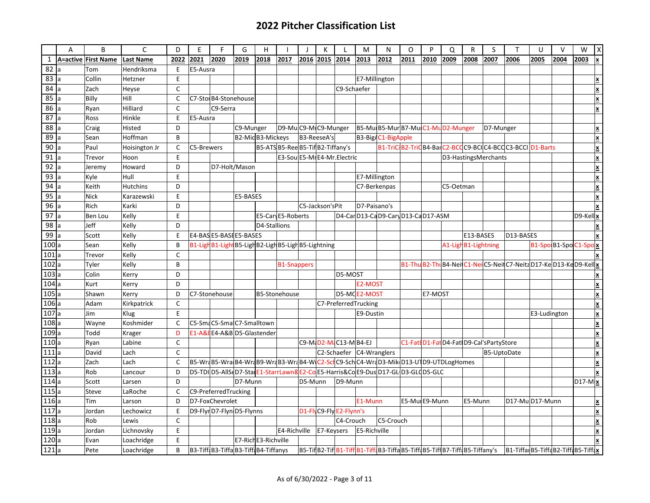|                    | A   | B                   | C                | D            | E          | F                                                                                   | G             | H                    |                                   | $\mathbf{I}$ | К                  | $\mathbf{I}$            | M                        | N                                  | $\circ$ | P              | Q         | $\mathsf{R}$        | S                                        | $\mathsf{T}$                                                                                                   | U            | $\vee$                 | W           | X                        |
|--------------------|-----|---------------------|------------------|--------------|------------|-------------------------------------------------------------------------------------|---------------|----------------------|-----------------------------------|--------------|--------------------|-------------------------|--------------------------|------------------------------------|---------|----------------|-----------|---------------------|------------------------------------------|----------------------------------------------------------------------------------------------------------------|--------------|------------------------|-------------|--------------------------|
| $\mathbf{1}$       |     | A=active First Name | <b>Last Name</b> | 2022         | 2021       | 2020                                                                                | 2019          | 2018                 | 2017                              |              | 2016 2015 2014     |                         | 2013                     | 2012                               | 2011    | 2010           | 2009      | 2008                | 2007                                     | 2006                                                                                                           | 2005         | 2004                   | 2003        | X                        |
| 82                 |     | Tom                 | Hendriksma       | E            | E5-Ausra   |                                                                                     |               |                      |                                   |              |                    |                         |                          |                                    |         |                |           |                     |                                          |                                                                                                                |              |                        |             |                          |
| 83                 |     | Collin              | Hetzner          | E            |            |                                                                                     |               |                      |                                   |              |                    |                         | E7-Millington            |                                    |         |                |           |                     |                                          |                                                                                                                |              |                        |             | X                        |
| 84                 |     | Zach                | Heyse            | C            |            |                                                                                     |               |                      |                                   |              |                    | C9-Schaefer             |                          |                                    |         |                |           |                     |                                          |                                                                                                                |              |                        |             |                          |
| 85                 | la. | Billy               | Hill             | $\mathsf{C}$ |            | C7-Stol B4-Stonehouse                                                               |               |                      |                                   |              |                    |                         |                          |                                    |         |                |           |                     |                                          |                                                                                                                |              |                        |             | X                        |
| 86                 |     | Ryan                | Hilliard         | $\mathsf C$  |            | C9-Serra                                                                            |               |                      |                                   |              |                    |                         |                          |                                    |         |                |           |                     |                                          |                                                                                                                |              |                        |             | X                        |
| $\overline{87}$    |     | Ross                | Hinkle           | E            | E5-Ausra   |                                                                                     |               |                      |                                   |              |                    |                         |                          |                                    |         |                |           |                     |                                          |                                                                                                                |              |                        |             |                          |
| $\overline{88}$    |     | Craig               | Histed           | D            |            |                                                                                     | C9-Munger     |                      | D9-MuC9-MIC9-Munger               |              |                    |                         |                          | B5-Mu B5-Mur B7-Mu C1-Mu D2-Munger |         |                |           |                     | D7-Munger                                |                                                                                                                |              |                        |             | X                        |
| 89                 | la. | Sean                | Hoffman          | B            |            |                                                                                     |               | B2-MicB3-Mickeys     |                                   |              | <b>B3-ReeseA's</b> |                         |                          | B3-Big/C1-BigApple                 |         |                |           |                     |                                          |                                                                                                                |              |                        |             | X                        |
| 90                 |     | Paul                | Hoisington Jr    | $\mathsf{C}$ | C5-Brewers |                                                                                     |               |                      | B5-ATS B5-Ree B5-Tif B2-Tiffany's |              |                    |                         |                          |                                    |         |                |           |                     |                                          | B1-TriC B2-TriC B4-Bar C2-BCC C9-BCC4-BCC C3-BCCI D1-Barts                                                     |              |                        |             | ×                        |
| 91                 |     | Trevor              | Hoon             | E            |            |                                                                                     |               |                      | E3-Sou E5-MI E4-Mr. Electric      |              |                    |                         |                          |                                    |         |                |           |                     | D3-HastingsMerchants                     |                                                                                                                |              |                        |             | X                        |
| 92                 |     | Jeremy              | Howard           | D            |            |                                                                                     | D7-Holt/Mason |                      |                                   |              |                    |                         |                          |                                    |         |                |           |                     |                                          |                                                                                                                |              |                        |             | X                        |
| 93 $a$             |     | Kyle                | Hull             | F            |            |                                                                                     |               |                      |                                   |              |                    |                         |                          | E7-Millington                      |         |                |           |                     |                                          |                                                                                                                |              |                        |             | X                        |
| 94                 |     | Keith               | <b>Hutchins</b>  | D            |            |                                                                                     |               |                      |                                   |              |                    |                         |                          | C7-Berkenpas                       |         |                | C5-Oetman |                     |                                          |                                                                                                                |              |                        |             |                          |
| 95                 |     | <b>Nick</b>         | Karazewski       | E            |            |                                                                                     | E5-BASES      |                      |                                   |              |                    |                         |                          |                                    |         |                |           |                     |                                          |                                                                                                                |              |                        |             |                          |
| 96                 |     | Rich                | Karki            | D            |            |                                                                                     |               |                      |                                   |              | C5-Jackson'sPit    |                         | D7-Paisano's             |                                    |         |                |           |                     |                                          |                                                                                                                |              |                        |             |                          |
| $\overline{97}$    |     | Ben Lou             | Kelly            | E            |            |                                                                                     |               |                      | E5-Car E5-Roberts                 |              |                    |                         |                          | D4-CarD13-CaD9-CaryD13-CaD17-ASM   |         |                |           |                     |                                          |                                                                                                                |              |                        | $D9$ -Kellx |                          |
| 98                 | ıа  | Jeff                | Kelly            | D            |            |                                                                                     |               | D4-Stallions         |                                   |              |                    |                         |                          |                                    |         |                |           |                     |                                          |                                                                                                                |              |                        |             | X                        |
| 99                 |     | Scott               | Kelly            | E            |            | E4-BAS E5-BASE E5-BASES                                                             |               |                      |                                   |              |                    |                         |                          |                                    |         |                |           | E13-BASES           |                                          | D13-BASES                                                                                                      |              |                        |             |                          |
| $\overline{100}$ a |     | Sean                | Kelly            | B            |            | B1-LighB1-LightB5-LighB2-LighB5-LighB5-Lightning                                    |               |                      |                                   |              |                    |                         |                          |                                    |         |                |           | A1-LighB1-Lightning |                                          |                                                                                                                |              | B1-Spo B1-Spo C1-Spo x |             |                          |
| $\overline{101}$ a |     | Trevor              | Kelly            | $\mathsf{C}$ |            |                                                                                     |               |                      |                                   |              |                    |                         |                          |                                    |         |                |           |                     |                                          |                                                                                                                |              |                        |             |                          |
| 102a               |     | Tyler               | Kelly            | B            |            |                                                                                     |               |                      | <b>B1-Snappers</b>                |              |                    |                         |                          |                                    |         |                |           |                     |                                          | B1-Thu B2-Thu B4-Neil C1-Neil C5-Neil C7-Neitz D17-Ke D13-Ke D9-Kell x                                         |              |                        |             |                          |
| 103a               |     | Colin               | Kerry            | D            |            |                                                                                     |               |                      |                                   |              |                    | D5-MOST                 |                          |                                    |         |                |           |                     |                                          |                                                                                                                |              |                        |             | X                        |
| $\overline{104}$ a |     | Kurt                | Kerry            | D            |            |                                                                                     |               |                      |                                   |              |                    |                         | E2-MOST                  |                                    |         |                |           |                     |                                          |                                                                                                                |              |                        |             | $\underline{\mathbf{x}}$ |
| 105a               |     | Shawn               | Kerry            | D            |            | C7-Stonehouse                                                                       |               |                      | B5-Stonehouse                     |              |                    |                         | D5-MCE2-MOST             |                                    |         | E7-MOST        |           |                     |                                          |                                                                                                                |              |                        |             | X                        |
| 106a               |     | Adam                | Kirkpatrick      | C            |            |                                                                                     |               |                      |                                   |              |                    |                         | C7-PreferredTrucking     |                                    |         |                |           |                     |                                          |                                                                                                                |              |                        |             | X                        |
| 107a               |     | Jim                 | Klug             | E            |            |                                                                                     |               |                      |                                   |              |                    |                         | E9-Dustin                |                                    |         |                |           |                     |                                          |                                                                                                                | E3-Ludington |                        |             | X                        |
| $\overline{108}$ a |     | Wayne               | Koshmider        | $\mathsf{C}$ |            | C5-SmaC5-SmaC7-Smalltown                                                            |               |                      |                                   |              |                    |                         |                          |                                    |         |                |           |                     |                                          |                                                                                                                |              |                        |             | X                        |
| $\overline{109}$ a |     | Todd                | Krager           | D            |            | E1-A&EE4-A&B D5-Glastender                                                          |               |                      |                                   |              |                    |                         |                          |                                    |         |                |           |                     |                                          |                                                                                                                |              |                        |             |                          |
| 110a               |     | Ryan                | Labine           | C            |            |                                                                                     |               |                      |                                   |              |                    | C9-M. D2-M. C13-M B4-EJ |                          |                                    |         |                |           |                     | C1-Fati D1-Fat D4-Fat D9-Cal'sPartyStore |                                                                                                                |              |                        |             |                          |
| 111a               |     | David               | Lach             | $\mathsf{C}$ |            |                                                                                     |               |                      |                                   |              |                    |                         | C2-Schaefer C4-Wranglers |                                    |         |                |           |                     | B5-UptoDate                              |                                                                                                                |              |                        |             |                          |
| 112a               |     | Zach                | Lach             | C            |            | B5-WraB5-WraB4-WraB9-WraB3-WraB4-WC2-SclC9-SchC4-WraD3-MikD13-U1D9-UTDLogHomes      |               |                      |                                   |              |                    |                         |                          |                                    |         |                |           |                     |                                          |                                                                                                                |              |                        |             |                          |
| 113a               |     | Rob                 | Lancour          | D            |            | D5-TDI D5-AllS D7-Stal E1-StarrLawn8 E2-Co E5-Harris&Co E9-Dus D17-GL D3-GL (D5-GLC |               |                      |                                   |              |                    |                         |                          |                                    |         |                |           |                     |                                          |                                                                                                                |              |                        |             | X                        |
| 114a               |     | Scott               | Larsen           | D            |            |                                                                                     | D7-Munn       |                      |                                   | D5-Munn      |                    | D9-Munn                 |                          |                                    |         |                |           |                     |                                          |                                                                                                                |              |                        | $D17-Mx$    |                          |
| 115a               |     | Steve               | LaRoche          | $\mathsf{C}$ |            | C9-PreferredTrucking                                                                |               |                      |                                   |              |                    |                         |                          |                                    |         |                |           |                     |                                          |                                                                                                                |              |                        |             |                          |
| 116a               |     | Tim                 | Larson           | D            |            | D7-FoxChevrolet                                                                     |               |                      |                                   |              |                    |                         | E1-Munn                  |                                    |         | E5-Mul E9-Munn |           | E5-Munn             |                                          | D17-MuD17-Munn                                                                                                 |              |                        |             | X                        |
| $\overline{117}$ a |     | Jordan              | Lechowicz        | E            |            | D9-FlyrD7-FlynD5-Flynns                                                             |               |                      |                                   |              |                    | D1-FlyC9-FlyE2-Flynn's  |                          |                                    |         |                |           |                     |                                          |                                                                                                                |              |                        |             | X                        |
| 118a               |     | Rob                 | Lewis            | C            |            |                                                                                     |               |                      |                                   |              |                    | C4-Crouch               |                          | C5-Crouch                          |         |                |           |                     |                                          |                                                                                                                |              |                        |             |                          |
| 119a               |     | Jordan              | Lichnovsky       | E            |            |                                                                                     |               |                      | E4-Richville                      |              | E7-Keysers         |                         | E5-Richville             |                                    |         |                |           |                     |                                          |                                                                                                                |              |                        |             |                          |
| 120a               |     | Evan                | Loachridge       | E            |            |                                                                                     |               | E7-Rich E3-Richville |                                   |              |                    |                         |                          |                                    |         |                |           |                     |                                          |                                                                                                                |              |                        |             |                          |
| 121a               |     | Pete                | Loachridge       | B            |            | B3-Tiff B3-Tiffa B3-Tiff B4-Tiffanys                                                |               |                      |                                   |              |                    |                         |                          |                                    |         |                |           |                     |                                          | B5-TiflB2-TiflB1-TifflB1-TifflB3-TifflB5-TifflB5-TifflB5-TifflB5-Tiffany's  B1-TiffalB5-TifflB5-TifflB5-Tifflx |              |                        |             |                          |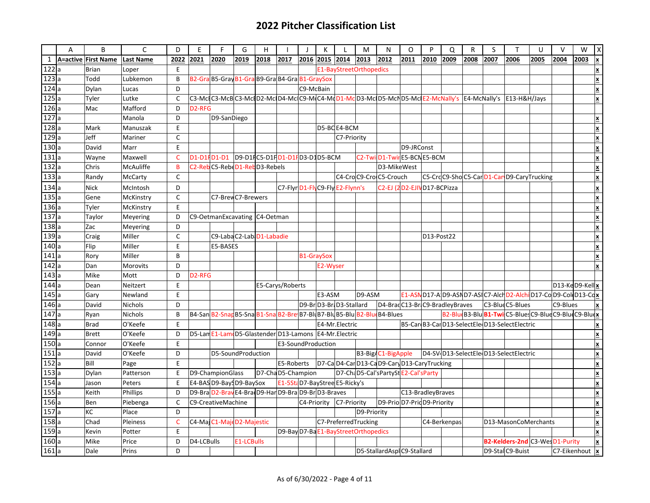|                    | A | B                   | C                | D            | E                   | F                                                                      | G                             | н    |                    |                   | к              |                                     | M           | N                                            | O                          | P          | Q            | R    | S    |                                                                                                       | U    | $\vee$            | W    | $\overline{X}$ |
|--------------------|---|---------------------|------------------|--------------|---------------------|------------------------------------------------------------------------|-------------------------------|------|--------------------|-------------------|----------------|-------------------------------------|-------------|----------------------------------------------|----------------------------|------------|--------------|------|------|-------------------------------------------------------------------------------------------------------|------|-------------------|------|----------------|
| $\mathbf{1}$       |   | A=active First Name | <b>Last Name</b> | 2022         | 2021                | 2020                                                                   | 2019                          | 2018 | 2017               |                   | 2016 2015 2014 |                                     | 2013        | 2012                                         | 2011                       | 2010       | 2009         | 2008 | 2007 | 2006                                                                                                  | 2005 | 2004              | 2003 | Ιx             |
| 122a               |   | <b>Brian</b>        | Loper            | E            |                     |                                                                        |                               |      |                    |                   |                | E1-BayStreetOrthopedics             |             |                                              |                            |            |              |      |      |                                                                                                       |      |                   |      | X              |
| 123a               |   | Todd                | Lubkemon         | B            |                     | B2-Gra B5-Gray B1-Gra B9-Gra B4-Gra B1-GraySox                         |                               |      |                    |                   |                |                                     |             |                                              |                            |            |              |      |      |                                                                                                       |      |                   |      | X              |
| 124a               |   | Dylan               | Lucas            | D            |                     |                                                                        |                               |      |                    | C9-McBain         |                |                                     |             |                                              |                            |            |              |      |      |                                                                                                       |      |                   |      | ×              |
| 125a               |   | Tyler               | Lutke            | $\mathsf{C}$ |                     |                                                                        |                               |      |                    |                   |                |                                     |             |                                              |                            |            |              |      |      | C3-McQC3-McQC3-McQD2-McQD4-McQC9-MQC4-MqD1-McD3-McQD5-McND5-McQE2-McNally's E4-McNally's E13-H&H/Jays |      |                   |      | X              |
| 126a               |   | Mac                 | Mafford          | D            | D <sub>2</sub> -RFG |                                                                        |                               |      |                    |                   |                |                                     |             |                                              |                            |            |              |      |      |                                                                                                       |      |                   |      |                |
| 127a               |   |                     | Manola           | D            |                     | D9-SanDiego                                                            |                               |      |                    |                   |                |                                     |             |                                              |                            |            |              |      |      |                                                                                                       |      |                   |      | x              |
| 128a               |   | Mark                | Manuszak         | E            |                     |                                                                        |                               |      |                    |                   |                | D5-BCE4-BCM                         |             |                                              |                            |            |              |      |      |                                                                                                       |      |                   |      | X              |
| 129a               |   | Jeff                | Mariner          | $\mathsf{C}$ |                     |                                                                        |                               |      |                    |                   |                | C7-Priority                         |             |                                              |                            |            |              |      |      |                                                                                                       |      |                   |      | x              |
| 130a               |   | David               | Marr             | E            |                     |                                                                        |                               |      |                    |                   |                |                                     |             |                                              | D9-JRConst                 |            |              |      |      |                                                                                                       |      |                   |      | ×              |
| 131a               |   | Wayne               | Maxwell          | $\mathsf{C}$ |                     | D1-D1FD1-D1                                                            | D9-D1FC5-D1FD1-D1FD3-D1D5-BCM |      |                    |                   |                |                                     |             | C2-Twi D1-Twir E5-BCN E5-BCM                 |                            |            |              |      |      |                                                                                                       |      |                   |      | ×              |
| 132a               |   | Chris               | McAuliffe        | B            |                     | C2-Reb C5-Rebe D1-Reb D3-Rebels                                        |                               |      |                    |                   |                |                                     |             | D3-MikeWest                                  |                            |            |              |      |      |                                                                                                       |      |                   |      | ×              |
| 133a               |   | Randy               | McCarty          | $\mathsf{C}$ |                     |                                                                        |                               |      |                    |                   |                |                                     |             | C4-CroC9-CroC5-Crouch                        |                            |            |              |      |      | C5-CrdC9-ShoC5-CarD1-CarD9-CaryTrucking                                                               |      |                   |      | ×              |
| 134a               |   | <b>Nick</b>         | McIntosh         | D            |                     |                                                                        |                               |      |                    |                   |                | C7-Flyr D1-FlyC9-Fly E2-Flynn's     |             |                                              | C2-EJ (2D2-EJIVD17-BCPizza |            |              |      |      |                                                                                                       |      |                   |      | X              |
| 135a               |   | Gene                | McKinstry        | $\mathsf{C}$ |                     | C7-Brev C7-Brewers                                                     |                               |      |                    |                   |                |                                     |             |                                              |                            |            |              |      |      |                                                                                                       |      |                   |      | X              |
| 136a               |   | Tyler               | McKinstry        | E            |                     |                                                                        |                               |      |                    |                   |                |                                     |             |                                              |                            |            |              |      |      |                                                                                                       |      |                   |      |                |
| 137a               |   | Taylor              | Meyering         | D            |                     | C9-OetmanExcavating   C4-Oetman                                        |                               |      |                    |                   |                |                                     |             |                                              |                            |            |              |      |      |                                                                                                       |      |                   |      | İΧ             |
| 138a               |   | Zac                 | Meyering         | D            |                     |                                                                        |                               |      |                    |                   |                |                                     |             |                                              |                            |            |              |      |      |                                                                                                       |      |                   |      |                |
| $\overline{139}$ a |   | Craig               | Miller           | $\mathsf{C}$ |                     | C9-LabaC2-Lab D1-Labadie                                               |                               |      |                    |                   |                |                                     |             |                                              |                            | D13-Post22 |              |      |      |                                                                                                       |      |                   |      | X              |
| 140a               |   | Flip                | Miller           | E            |                     | E5-BASES                                                               |                               |      |                    |                   |                |                                     |             |                                              |                            |            |              |      |      |                                                                                                       |      |                   |      |                |
| 141a               |   | Rory                | Miller           | B            |                     |                                                                        |                               |      |                    | <b>B1-GraySox</b> |                |                                     |             |                                              |                            |            |              |      |      |                                                                                                       |      |                   |      | lX.            |
| 142a               |   | Dan                 | Morovits         | D            |                     |                                                                        |                               |      |                    |                   | E2-Wyser       |                                     |             |                                              |                            |            |              |      |      |                                                                                                       |      |                   |      |                |
| 143a               |   | Mike                | Mott             | D            | D <sub>2</sub> -RFG |                                                                        |                               |      |                    |                   |                |                                     |             |                                              |                            |            |              |      |      |                                                                                                       |      |                   |      |                |
| 144a               |   | Dean                | Neitzert         | E            |                     |                                                                        |                               |      | E5-Carys/Roberts   |                   |                |                                     |             |                                              |                            |            |              |      |      |                                                                                                       |      | $D13-Ke$ D9-Kellx |      |                |
| 145a               |   | Gary                | Newland          | E            |                     |                                                                        |                               |      |                    |                   | E3-ASM         |                                     | D9-ASM      |                                              |                            |            |              |      |      | E1-ASN D17-A D9-ASN D7-ASI C7-AIcH D2-AIchi D17-Co D9-Col D13-Cdx                                     |      |                   |      |                |
| 146a               |   | David               | Nichols          | D            |                     |                                                                        |                               |      |                    |                   |                | D9-Br D3-Br D3-Stallard             |             | D4-Brad C13-Br C9-Bradley Braves             |                            |            |              |      |      | C3-BlueC5-Blues                                                                                       |      | C9-Blues          |      |                |
| 147a               |   | Ryan                | Nichols          | B            |                     | B4-San B2-Snar B5-Sna B1-Sna B2-Bre B7-BI B7-BI B5-BIU B2-BIu B4-Blues |                               |      |                    |                   |                |                                     |             |                                              |                            |            |              |      |      | B2-Blue B3-Blu B1-Twi C5-Blues C9-Blue C9-Blue C9-Blue x                                              |      |                   |      |                |
| 148a               |   | <b>Brad</b>         | O'Keefe          | E            |                     |                                                                        |                               |      |                    |                   |                | E4-Mr.Electric                      |             |                                              |                            |            |              |      |      | B5-Car B3-Car D13-SelectEle D13-SelectElectric                                                        |      |                   |      |                |
| 149a               |   | <b>Brett</b>        | O'Keefe          | D            |                     | D5-Lan E1-Lam D5-Glastender D13-Lamons E4-Mr.Electric                  |                               |      |                    |                   |                |                                     |             |                                              |                            |            |              |      |      |                                                                                                       |      |                   |      |                |
| 150a               |   | Connor              | O'Keefe          | E            |                     |                                                                        |                               |      | E3-SoundProduction |                   |                |                                     |             |                                              |                            |            |              |      |      |                                                                                                       |      |                   |      |                |
| 151a               |   | David               | O'Keefe          | D            |                     | D5-SoundProduction                                                     |                               |      |                    |                   |                |                                     |             | B3-Big/C1-BigApple                           |                            |            |              |      |      | D4-SV D13-SelectEle D13-SelectElectric                                                                |      |                   |      |                |
| 152a               |   | Bill                | Page             | E            |                     |                                                                        |                               |      | E5-Roberts         |                   |                |                                     |             | D7-Ca D4-Car D13-Ca D9-Cary D13-CaryTrucking |                            |            |              |      |      |                                                                                                       |      |                   |      |                |
| 153a               |   | Dylan               | Patterson        | E            |                     | D9-ChampionGlass                                                       |                               |      | D7-ChaD5-Champion  |                   |                |                                     |             | D7-ChaD5-Cal'sPartyStE2-Cal'sParty           |                            |            |              |      |      |                                                                                                       |      |                   |      |                |
| 154a               |   | Jason               | Peters           | E            |                     | E4-BAS D9-BayS D9-BaySox                                               |                               |      |                    |                   |                | E1-5Sta D7-BayStree E5-Ricky's      |             |                                              |                            |            |              |      |      |                                                                                                       |      |                   |      | X              |
| 155a               |   | Keith               | Phillips         | D            |                     | D9-Bra D2-Brav E4-Brav D9-Har D9-Bra D9-Br D3-Braves                   |                               |      |                    |                   |                |                                     |             |                                              | C13-BradleyBraves          |            |              |      |      |                                                                                                       |      |                   |      | X              |
| 156a               |   | Ben                 | Piebenga         | $\mathsf{C}$ |                     | C9-CreativeMachine                                                     |                               |      |                    |                   |                | C4-Priority C7-Priority             |             | D9-PrioD7-PridD9-Priority                    |                            |            |              |      |      |                                                                                                       |      |                   |      | ×              |
| 157a               |   | КC                  | Place            | D            |                     |                                                                        |                               |      |                    |                   |                |                                     | D9-Priority |                                              |                            |            |              |      |      |                                                                                                       |      |                   |      | X              |
| 158a               |   | Chad                | Pleiness         | $\mathsf{C}$ |                     | C4-Maj C1-Maj D2-Majestic                                              |                               |      |                    |                   |                | C7-PreferredTrucking                |             |                                              |                            |            | C4-Berkenpas |      |      | D13-MasonCoMerchants                                                                                  |      |                   |      | X              |
| 159a               |   | Kevin               | Potter           | E            |                     |                                                                        |                               |      |                    |                   |                | D9-Bay D7-BaE1-BayStreetOrthopedics |             |                                              |                            |            |              |      |      |                                                                                                       |      |                   |      |                |
| 160a               |   | Mike                | Price            | D            | D4-LCBulls          |                                                                        | <b>E1-LCBulls</b>             |      |                    |                   |                |                                     |             |                                              |                            |            |              |      |      | B2-Kelders-2nd C3-WesD1-Purity                                                                        |      |                   |      | X              |
| 161a               |   | Dale                | Prins            | D            |                     |                                                                        |                               |      |                    |                   |                |                                     |             | D5-StallardAsplC9-Stallard                   |                            |            |              |      |      | D9-Stal C9-Buist                                                                                      |      | C7-Eikenhout      |      | <b>x</b>       |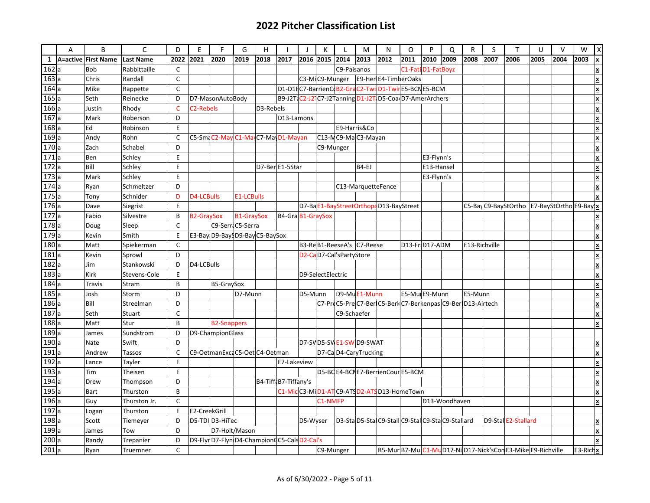|                    | A | B                   | $\mathsf{C}$     | D            | E                      | F                                         | G                 | H         |                      |          | K                 |                         | M                                                         | N    | O                 | P          | $\Omega$      | ${\sf R}$     | S    | T                                                       | U    | V    | W        | X                         |
|--------------------|---|---------------------|------------------|--------------|------------------------|-------------------------------------------|-------------------|-----------|----------------------|----------|-------------------|-------------------------|-----------------------------------------------------------|------|-------------------|------------|---------------|---------------|------|---------------------------------------------------------|------|------|----------|---------------------------|
| $\mathbf{1}$       |   | A=active First Name | <b>Last Name</b> | 2022         | 2021                   | 2020                                      | 2019              | 2018      | 2017                 |          | 2016 2015         | 2014                    | 2013                                                      | 2012 | 2011              | 2010       | 2009          | 2008          | 2007 | 2006                                                    | 2005 | 2004 | 2003     | x                         |
| 162a               |   | <b>Bob</b>          | Rabbittaille     | C            |                        |                                           |                   |           |                      |          |                   | C9-Paisanos             |                                                           |      | C1-FatED1-FatBoyz |            |               |               |      |                                                         |      |      |          | X                         |
| $\frac{163}{164}a$ |   | Chris               | Randall          | $\mathsf{C}$ |                        |                                           |                   |           |                      |          | C3-MIC9-Munger    |                         | E9-Her E4-TimberOaks                                      |      |                   |            |               |               |      |                                                         |      |      |          | ΙX                        |
|                    |   | Mike                | Rappette         | C            |                        |                                           |                   |           |                      |          |                   |                         | D1-D1FC7-BarrienCoB2-GraC2-TwilD1-TwirE5-BCNE5-BCM        |      |                   |            |               |               |      |                                                         |      |      |          | ×                         |
| 165a               |   | Seth                | Reinecke         | D            |                        | D7-MasonAutoBody                          |                   |           |                      |          |                   |                         | B9-J2T C2-J2 C7-J2Tanning D1-J2T D5-Coa D7-AmerArchers    |      |                   |            |               |               |      |                                                         |      |      |          | X                         |
| 166a               |   | Justin              | Rhody            | $\mathsf{C}$ | C <sub>2</sub> -Rebels |                                           |                   | D3-Rebels |                      |          |                   |                         |                                                           |      |                   |            |               |               |      |                                                         |      |      |          | X                         |
| 167a               |   | Mark                | Roberson         | D            |                        |                                           |                   |           | D13-Lamons           |          |                   |                         |                                                           |      |                   |            |               |               |      |                                                         |      |      |          | ×                         |
| 168a               |   | Ed                  | Robinson         | E            |                        |                                           |                   |           |                      |          |                   | E9-Harris&Co            |                                                           |      |                   |            |               |               |      |                                                         |      |      |          | ΙX                        |
| 169a               |   | Andy                | Rohn             | C            |                        | C5-Sma C2-May C1-May C7-May D1-Mayan      |                   |           |                      |          |                   |                         | C13-MC9-MaC3-Mayan                                        |      |                   |            |               |               |      |                                                         |      |      |          | X                         |
| 170a               |   | Zach                | Schabel          | D            |                        |                                           |                   |           |                      |          | C9-Munger         |                         |                                                           |      |                   |            |               |               |      |                                                         |      |      |          | ×                         |
| 171a               |   | Ben                 | Schley           | E            |                        |                                           |                   |           |                      |          |                   |                         |                                                           |      |                   | E3-Flynn's |               |               |      |                                                         |      |      |          | ×                         |
| 172a               |   | Bill                | Schley           | E            |                        |                                           |                   |           | D7-Ber E1-5Star      |          |                   |                         | B4-EJ                                                     |      |                   | E13-Hansel |               |               |      |                                                         |      |      |          | ×                         |
| 173a               |   | Mark                | Schley           | E            |                        |                                           |                   |           |                      |          |                   |                         |                                                           |      |                   | E3-Flynn's |               |               |      |                                                         |      |      |          | x                         |
| 174a               |   | Ryan                | Schmeltzer       | D            |                        |                                           |                   |           |                      |          |                   |                         | C13-MarquetteFence                                        |      |                   |            |               |               |      |                                                         |      |      |          | X                         |
| 175                |   | Tony                | Schnider         | D            | D4-LCBulls             |                                           | <b>E1-LCBulls</b> |           |                      |          |                   |                         |                                                           |      |                   |            |               |               |      |                                                         |      |      |          |                           |
| 176a               |   | Dave                | Siegrist         | E            |                        |                                           |                   |           |                      |          |                   |                         | D7-BaE1-BayStreetOrthopeD13-BayStreet                     |      |                   |            |               |               |      | C5-BayC9-BayStOrtho E7-BayStOrtho E9-Bay x              |      |      |          |                           |
| 177a               |   | Fabio               | Silvestre        | B            | <b>B2-GraySox</b>      |                                           | <b>B1-GraySox</b> |           | B4-GraB1-GraySox     |          |                   |                         |                                                           |      |                   |            |               |               |      |                                                         |      |      |          | X                         |
| 178a               |   | Doug                | Sleep            | $\mathsf{C}$ |                        | C9-Serr C5-Serra                          |                   |           |                      |          |                   |                         |                                                           |      |                   |            |               |               |      |                                                         |      |      |          | x                         |
| 179a               |   | Kevin               | Smith            | E            |                        | E3-Bay D9-Bay D9-Bay C5-BaySox            |                   |           |                      |          |                   |                         |                                                           |      |                   |            |               |               |      |                                                         |      |      |          |                           |
| 180a               |   | Matt                | Spiekerman       | $\mathsf{C}$ |                        |                                           |                   |           |                      |          |                   |                         | B3-ReB1-ReeseA's C7-Reese                                 |      | D13-Fr D17-ADM    |            |               | E13-Richville |      |                                                         |      |      |          | <u>x</u>                  |
| 181a               |   | Kevin               | Sprowl           | D            |                        |                                           |                   |           |                      |          |                   | D2-CaD7-Cal'sPartyStore |                                                           |      |                   |            |               |               |      |                                                         |      |      |          | X                         |
| $\frac{182}{183}a$ |   | Jim                 | Stankowski       | D            | D4-LCBulls             |                                           |                   |           |                      |          |                   |                         |                                                           |      |                   |            |               |               |      |                                                         |      |      |          | X                         |
|                    |   | Kirk                | Stevens-Cole     | E            |                        |                                           |                   |           |                      |          | D9-SelectElectric |                         |                                                           |      |                   |            |               |               |      |                                                         |      |      |          | ×                         |
| 184a               |   | <b>Travis</b>       | Stram            | B            |                        | B5-GraySox                                |                   |           |                      |          |                   |                         |                                                           |      |                   |            |               |               |      |                                                         |      |      |          | X                         |
| 185a               |   | Josh                | Storm            | D            |                        |                                           | D7-Munn           |           |                      | D5-Munn  |                   |                         | D9-MuE1-Munn                                              |      | E5-Mul E9-Munn    |            |               | E5-Munn       |      |                                                         |      |      |          | ×                         |
| 186a               |   | Bill                | Streelman        | D            |                        |                                           |                   |           |                      |          |                   |                         | C7-PreC5-PreC7-Ber C5-BerkC7-Berkenpas C9-Ber D13-Airtech |      |                   |            |               |               |      |                                                         |      |      |          |                           |
| 187a               |   | Seth                | Stuart           | $\mathsf{C}$ |                        |                                           |                   |           |                      |          |                   | C9-Schaefer             |                                                           |      |                   |            |               |               |      |                                                         |      |      |          | $\frac{x}{\underline{x}}$ |
| 188                |   | Matt                | Stur             | B            |                        | <b>B2-Snappers</b>                        |                   |           |                      |          |                   |                         |                                                           |      |                   |            |               |               |      |                                                         |      |      |          | x                         |
| 189a               |   | James               | Sundstrom        | D            |                        | D9-ChampionGlass                          |                   |           |                      |          |                   |                         |                                                           |      |                   |            |               |               |      |                                                         |      |      |          |                           |
| 190a               |   | Nate                | Swift            | D            |                        |                                           |                   |           |                      |          |                   |                         | D7-SVD5-SWE1-SWD9-SWAT                                    |      |                   |            |               |               |      |                                                         |      |      |          | $\overline{\mathbf{x}}$   |
| 191a               |   | Andrew              | Tassos           | C            |                        | C9-OetmanExcaC5-Oet C4-Oetman             |                   |           |                      |          |                   |                         | D7-Ca D4-CaryTrucking                                     |      |                   |            |               |               |      |                                                         |      |      |          | ×                         |
| 192                |   | Lance               | Tayler           | E            |                        |                                           |                   |           | E7-Lakeview          |          |                   |                         |                                                           |      |                   |            |               |               |      |                                                         |      |      |          | ×                         |
| $\overline{193}$ a |   | Tim                 | Theisen          | E            |                        |                                           |                   |           |                      |          |                   |                         | D5-BC E4-BCN E7-BerrienCour E5-BCM                        |      |                   |            |               |               |      |                                                         |      |      |          | ×                         |
| 194a               |   | Drew                | Thompson         | D            |                        |                                           |                   |           | B4-Tiff B7-Tiffany's |          |                   |                         |                                                           |      |                   |            |               |               |      |                                                         |      |      |          | $\overline{\mathbf{x}}$   |
| 195a               |   | Bart                | Thurston         | B            |                        |                                           |                   |           |                      |          |                   |                         | C1-MicC3-MiD1-ATC9-ATSD2-ATSD13-HomeTown                  |      |                   |            |               |               |      |                                                         |      |      |          | x                         |
| 196c               |   | Guy                 | Thurston Jr.     | C            |                        |                                           |                   |           |                      |          | C1-NMFP           |                         |                                                           |      |                   |            | D13-Woodhaven |               |      |                                                         |      |      |          |                           |
| 197a               |   | Logan               | Thurston         | E            | E2-CreekGrill          |                                           |                   |           |                      |          |                   |                         |                                                           |      |                   |            |               |               |      |                                                         |      |      |          |                           |
| 198a               |   | Scott               | Tiemeyer         | D            |                        | D5-TDID3-HiTec                            |                   |           |                      | D5-Wyser |                   |                         | D3-StaD5-StalC9-StallC9-StalC9-StalC9-Stallard            |      |                   |            |               |               |      | D9-Stal E2-Stallard                                     |      |      |          | X                         |
| $\boxed{199}$ a    |   | James               | Tow              | D            |                        | D7-Holt/Mason                             |                   |           |                      |          |                   |                         |                                                           |      |                   |            |               |               |      |                                                         |      |      |          | lχ                        |
| $\overline{200}$ a |   | Randy               | Trepanier        | D            |                        | D9-FlyrD7-FlynD4-ChampiondC5-CalsD2-Cal's |                   |           |                      |          |                   |                         |                                                           |      |                   |            |               |               |      |                                                         |      |      |          | Ιx                        |
| 201a               |   | Ryan                | Truemner         | $\mathsf{C}$ |                        |                                           |                   |           |                      |          | C9-Munger         |                         |                                                           |      |                   |            |               |               |      | B5-MurB7-MulC1-MuD17-NiD17-Nick'sConE3-MikeE9-Richville |      |      | E3-Richx |                           |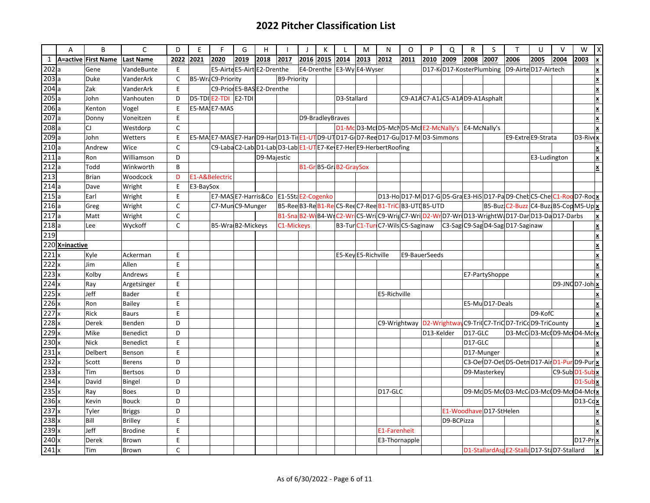|                    | A              | B                   | $\mathsf{C}$     | D            | E         | F                                                                                 | G    | H           |                    | $\perp$          | K | L                           | M                   | N             | $\Omega$                                        | P          | Q          | R          | S                              | $\mathsf{T}$                                                                              | U                  | $\vee$ | W                   | X                        |
|--------------------|----------------|---------------------|------------------|--------------|-----------|-----------------------------------------------------------------------------------|------|-------------|--------------------|------------------|---|-----------------------------|---------------------|---------------|-------------------------------------------------|------------|------------|------------|--------------------------------|-------------------------------------------------------------------------------------------|--------------------|--------|---------------------|--------------------------|
| $\mathbf{1}$       |                | A=active First Name | <b>Last Name</b> | 2022         | 2021      | 2020                                                                              | 2019 | 2018        | 2017               | 2016 2015        |   | 2014                        | 2013                | 2012          | 2011                                            | 2010       | 2009       | 2008       | 2007                           | 2006                                                                                      | 2005               | 2004   | 2003                | $\pmb{\times}$           |
| 202a               |                | Gene                | VandeBunte       | Ε            |           | E5-Airte E5-Airt E2-Drenthe                                                       |      |             |                    |                  |   | E4-Drenthe   E3-Wy E4-Wyser |                     |               |                                                 |            |            |            |                                | D17-K D17-KosterPlumbing   D9-Airte D17-Airtech                                           |                    |        |                     | X                        |
| 203a               |                | <b>Duke</b>         | VanderArk        | $\mathsf{C}$ |           | B5-WraC9-Priority                                                                 |      |             | <b>B9-Priority</b> |                  |   |                             |                     |               |                                                 |            |            |            |                                |                                                                                           |                    |        |                     |                          |
| 204a               |                | Zak                 | VanderArk        | E            |           | C9-Prior E5-BAS E2-Drenthe                                                        |      |             |                    |                  |   |                             |                     |               |                                                 |            |            |            |                                |                                                                                           |                    |        |                     |                          |
| 205a               |                | John                | Vanhouten        | D            |           | $DS-TDI$ $E2-TDI$ $E2-TDI$                                                        |      |             |                    |                  |   | D3-Stallard                 |                     |               |                                                 |            |            |            | C9-A14C7-A1/C5-A14D9-A1Asphalt |                                                                                           |                    |        |                     |                          |
| 206a               |                | Kenton              | Vogel            | E            |           | E5-MA E7-MAS                                                                      |      |             |                    |                  |   |                             |                     |               |                                                 |            |            |            |                                |                                                                                           |                    |        |                     |                          |
| 207a               |                | Donny               | Voneitzen        | E            |           |                                                                                   |      |             |                    | D9-BradleyBraves |   |                             |                     |               |                                                 |            |            |            |                                |                                                                                           |                    |        |                     |                          |
| 208a               |                | CJ                  | Westdorp         | C            |           |                                                                                   |      |             |                    |                  |   |                             |                     |               | D1-McD3-McD5-McND5-McDE2-McNally's E4-McNally's |            |            |            |                                |                                                                                           |                    |        |                     |                          |
| 209a               |                | John                | Wetters          | E            |           | E5-MA E7-MAS E7-Har D9-Har D13-Til E1-UTD9-UTD17-G D7-Ree D17-Gu D17-M D3-Simmons |      |             |                    |                  |   |                             |                     |               |                                                 |            |            |            |                                |                                                                                           | E9-Extre E9-Strata |        | $D3-Riv$            |                          |
| 210a               |                | Andrew              | Wice             | $\mathsf{C}$ |           | C9-LabaC2-Lab D1-Lab D3-Lab E1-UT E7-Ke E7-Her E9-Herbert Roofing                 |      |             |                    |                  |   |                             |                     |               |                                                 |            |            |            |                                |                                                                                           |                    |        |                     | X                        |
| 211a               |                | Ron                 | Williamson       | D            |           |                                                                                   |      | D9-Majestic |                    |                  |   |                             |                     |               |                                                 |            |            |            |                                |                                                                                           | E3-Ludington       |        |                     | $\underline{\mathbf{x}}$ |
| 212a               |                | Todd                | Winkworth        | B            |           |                                                                                   |      |             |                    |                  |   | B1-Gr B5-Gr B2-GraySox      |                     |               |                                                 |            |            |            |                                |                                                                                           |                    |        |                     |                          |
| 213                |                | <b>Brian</b>        | Woodcock         | D            |           | E1-A&Belectric                                                                    |      |             |                    |                  |   |                             |                     |               |                                                 |            |            |            |                                |                                                                                           |                    |        |                     |                          |
| 214a               |                | Dave                | Wright           | E            | E3-BaySox |                                                                                   |      |             |                    |                  |   |                             |                     |               |                                                 |            |            |            |                                |                                                                                           |                    |        |                     |                          |
| 215a               |                | Earl                | Wright           | E            |           | E7-MASE7-Harris&Co E1-5StaE2-Cogenko                                              |      |             |                    |                  |   |                             |                     |               |                                                 |            |            |            |                                | D13-Ho D17-M D17-G D5-Gra E3-HiS D17-Pa D9-Cheb C5-Che C1-Roo D7-Roo <mark>x</mark>       |                    |        |                     |                          |
| 216a               |                | Greg                | Wright           | C            |           | C7-MunC9-Munger                                                                   |      |             |                    |                  |   |                             |                     |               |                                                 |            |            |            |                                | B5-Buz C2-Buzz C4-Buzz B5-Cop M5-Up x                                                     |                    |        |                     |                          |
| 217a               |                | Matt                | Wright           | C            |           |                                                                                   |      |             |                    |                  |   |                             |                     |               |                                                 |            |            |            |                                | B1-Sna B2-W B4-W C2-Wr C5-Wri C9-Wrig C7-Wri D2-Wri D13-Wright W D17-Dar D13-Da D17-Darbs |                    |        |                     |                          |
| 218a               |                | Lee                 | Wyckoff          | $\mathsf{C}$ |           | B5-Wra B2-Mickeys                                                                 |      |             | C1-Mickeys         |                  |   |                             |                     |               | B3-TurC1-TurC7-WilsC5-Saginaw                   |            |            |            |                                | C3-Sag C9-Sag D4-Sag D17-Saginaw                                                          |                    |        |                     |                          |
| 219                |                |                     |                  |              |           |                                                                                   |      |             |                    |                  |   |                             |                     |               |                                                 |            |            |            |                                |                                                                                           |                    |        |                     |                          |
|                    | 220 X=inactive |                     |                  |              |           |                                                                                   |      |             |                    |                  |   |                             |                     |               |                                                 |            |            |            |                                |                                                                                           |                    |        |                     |                          |
| 221                |                | Kyle                | Ackerman         | E            |           |                                                                                   |      |             |                    |                  |   |                             | E5-Key E5-Richville |               | E9-BauerSeeds                                   |            |            |            |                                |                                                                                           |                    |        |                     |                          |
| 222x               |                | Jim                 | Allen            | E            |           |                                                                                   |      |             |                    |                  |   |                             |                     |               |                                                 |            |            |            |                                |                                                                                           |                    |        |                     |                          |
| 223x               |                | Kolby               | Andrews          | E            |           |                                                                                   |      |             |                    |                  |   |                             |                     |               |                                                 |            |            |            | E7-PartyShoppe                 |                                                                                           |                    |        |                     |                          |
| $224$ <sub>x</sub> |                | Ray                 | Argetsinger      | E            |           |                                                                                   |      |             |                    |                  |   |                             |                     |               |                                                 |            |            |            |                                |                                                                                           |                    |        | $D9$ -JNCD7-Joh $x$ |                          |
| 225x               |                | Jeff                | Bader            | E            |           |                                                                                   |      |             |                    |                  |   |                             |                     | E5-Richville  |                                                 |            |            |            |                                |                                                                                           |                    |        |                     |                          |
| 226x               |                | Ron                 | Bailey           | E            |           |                                                                                   |      |             |                    |                  |   |                             |                     |               |                                                 |            |            |            | E5-MuD17-Deals                 |                                                                                           |                    |        |                     |                          |
| 227x               |                | Rick                | <b>Baurs</b>     | E            |           |                                                                                   |      |             |                    |                  |   |                             |                     |               |                                                 |            |            |            |                                |                                                                                           | D9-KofC            |        |                     | x                        |
| $228 \times$       |                | <b>Derek</b>        | Benden           | D            |           |                                                                                   |      |             |                    |                  |   |                             |                     |               |                                                 |            |            |            |                                | C9-Wrightway   D2-Wrightway C9-Triq C7-TriC D7-TriCd D9-TriCounty                         |                    |        |                     |                          |
| 229                |                | Mike                | Benedict         | D            |           |                                                                                   |      |             |                    |                  |   |                             |                     |               |                                                 | D13-Kelder |            | D17-GLC    |                                | D3-McCD3-McO9-McD4-McLX                                                                   |                    |        |                     |                          |
| $230 \times$       |                | <b>Nick</b>         | Benedict         | E            |           |                                                                                   |      |             |                    |                  |   |                             |                     |               |                                                 |            |            | D17-GLC    |                                |                                                                                           |                    |        |                     |                          |
| $231 \times$       |                | Delbert             | Benson           | E            |           |                                                                                   |      |             |                    |                  |   |                             |                     |               |                                                 |            |            | D17-Munger |                                |                                                                                           |                    |        |                     |                          |
| 232                |                | Scott               | <b>Berens</b>    | D            |           |                                                                                   |      |             |                    |                  |   |                             |                     |               |                                                 |            |            |            |                                | C3-OelD7-OetD5-OetnD17-AirD1-PurD9-Pur                                                    |                    |        |                     |                          |
| 233x               |                | <b>Tim</b>          | Bertsos          | D            |           |                                                                                   |      |             |                    |                  |   |                             |                     |               |                                                 |            |            |            | D9-Masterkey                   |                                                                                           |                    |        | C9-Sub D1-Sub x     |                          |
| $234 \times$       |                | David               | Bingel           | D            |           |                                                                                   |      |             |                    |                  |   |                             |                     |               |                                                 |            |            |            |                                |                                                                                           |                    |        | D1-Subx             |                          |
| 235x               |                | Ray                 | <b>Boes</b>      | D            |           |                                                                                   |      |             |                    |                  |   |                             |                     | D17-GLC       |                                                 |            |            |            |                                | D9-MdD5-Mc0D3-McCD3-Mc0D9-Mc0D4-Mc                                                        |                    |        |                     |                          |
| $236 \times$       |                | Kevin               | <b>Bouck</b>     | D            |           |                                                                                   |      |             |                    |                  |   |                             |                     |               |                                                 |            |            |            |                                |                                                                                           |                    |        | $D13-Cc$            |                          |
| 237                |                | Tyler               | Briggs           | D            |           |                                                                                   |      |             |                    |                  |   |                             |                     |               |                                                 |            |            |            | E1-Woodhave D17-StHelen        |                                                                                           |                    |        |                     |                          |
| $238 \times$       |                | Bill                | <b>Brilley</b>   | E            |           |                                                                                   |      |             |                    |                  |   |                             |                     |               |                                                 |            | D9-BCPizza |            |                                |                                                                                           |                    |        |                     |                          |
| 239x               |                | Jeff                | <b>Brodine</b>   | E            |           |                                                                                   |      |             |                    |                  |   |                             |                     | E1-Farenheit  |                                                 |            |            |            |                                |                                                                                           |                    |        |                     |                          |
| 240x               |                | Derek               | Brown            | E            |           |                                                                                   |      |             |                    |                  |   |                             |                     | E3-Thornapple |                                                 |            |            |            |                                |                                                                                           |                    |        | D17-Pr              |                          |
| 241x               |                | Tim                 | Brown            | C            |           |                                                                                   |      |             |                    |                  |   |                             |                     |               |                                                 |            |            |            |                                | D1-StallardAsr E2-Stalla D17-StaD7-Stallard                                               |                    |        |                     | X                        |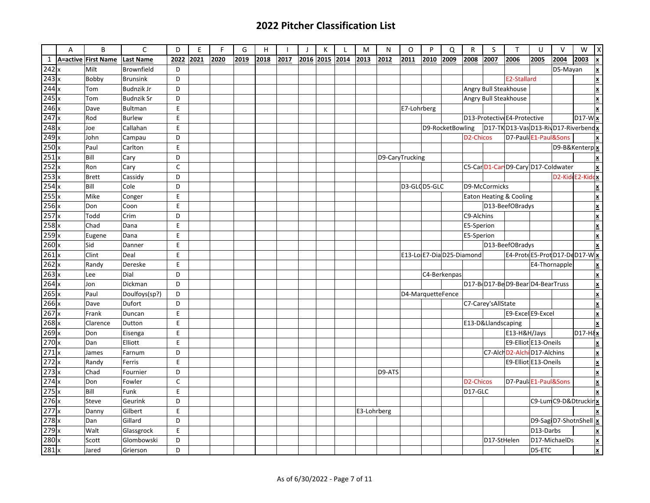| <b>First Name</b><br><b>Last Name</b><br>2022<br>2021<br>2020<br>2019<br>2018<br>2017<br>2013<br>2012<br>2009<br>2008<br>2004<br>A=active<br>2016<br>2015<br>2014<br>2011<br>2010<br>2007<br>2006<br>2005<br>2003<br>$\boldsymbol{\mathsf{x}}$<br>Milt<br>Brownfield<br>D<br>D5-Mayan<br>E2-Stallard<br>Bobby<br><b>Brunsink</b><br>D<br>X<br>$244 \times$<br>Angry Bull Steakhouse<br>Budnzik Jr<br>Tom<br>D<br><b>Budnzik Sr</b><br>D<br>Angry Bull Steakhouse<br>Tom<br>E<br>E7-Lohrberg<br>Dave<br>Bultman<br>D13-ProtectiveE4-Protective<br>E<br>$D17-W$<br>Rod<br><b>Burlew</b><br>D17-TK D13-Vas D13-Riv D17-Riverbendx<br>Callahan<br>E<br>D9-RocketBowling<br>Joe<br>D <sub>2</sub> -Chicos<br>D7-Paul E1-Paul&Sons<br>D<br>John<br>Campau<br>$\boldsymbol{\mathsf{x}}$<br>D9-B&Kenterp x<br>Paul<br>E<br>Carlton<br>Bill<br>D9-CaryTrucking<br>Cary<br>D<br>X<br>C5-CarD1-CarD9-CaryD17-Coldwater<br>C<br>Ron<br>Cary<br>D2-Kid E2-Kid<br>D<br><b>Brett</b><br>Cassidy<br>dх<br>$\frac{254}{255} \times$<br>Bill<br>D3-GLCD5-GLC<br>D9-McCormicks<br>Cole<br>D<br>X<br>E<br>Mike<br>Eaton Heating & Cooling<br>Conger<br>X<br>E<br>D13-BeefOBradys<br>Don<br>Coon<br>X<br>257<br>Todd<br>C9-Alchins<br>Crim<br>D<br>X<br>$258$ x<br>E<br>Chad<br>E5-Sperion<br>Dana<br>$\overline{\mathbf{x}}$<br>259<br>E<br>E5-Sperion<br>X<br>Eugene<br>Dana<br>$\overline{260}$<br>E<br>D13-BeefOBradys<br>Sid<br>Danner<br>$\overline{\mathbf{x}}$<br>E4-ProteE5-ProtD17-DeD17-W<br>E<br>E13-Lo E7-Dia D25-Diamond<br>Clint<br>Deal<br>$\mathsf E$<br>E4-Thornapple<br>$\underline{\mathbf{x}}$<br>Randy<br>Dereske<br>D<br>C4-Berkenpas<br>×<br>Dial<br>Lee<br>D17-B D17-BeD9-BearD4-BearTruss<br>X<br>Dickman<br>D<br>Jon<br>Paul<br>Doulfoys(sp?)<br>D<br>D4-MarquetteFence<br>X<br>C7-Carey'sAllState<br>Dave<br>Dufort<br>D<br>E<br>E9-Excel E9-Excel<br>Frank<br>Duncan<br>X<br>E<br>E13-D&Llandscaping<br>Clarence<br>Dutton<br>X<br>E<br>D <sub>17-H</sub><br>Don<br>Eisenga<br>E13-H&H/Jays<br>E9-Elliot E13-Oneils<br>Dan<br>Elliott<br>E<br>×<br>$\frac{271 \times 272}{272 \times 273 \times 273}$<br>C7-Alch D2-Alchi D17-Alchins<br>D<br>Farnum<br>James<br>$\underline{\textbf{x}}$<br>E9-Elliot E13-Oneils<br>E<br>Randy<br>$\underline{\mathbf{x}}$<br>Ferris<br>D<br>D9-ATS<br>Chad<br>$\boldsymbol{\mathsf{x}}$<br>Fournier<br>$\mathsf{C}$<br>D7-Paul E1-Paul&Sons<br>Don<br>D <sub>2</sub> -Chicos<br>Fowler<br>$\underline{\textbf{x}}$<br>E<br>Bill<br>Funk<br>D17-GLC<br>C9-LumC9-D&Dtruckir x<br>D<br>Steve<br>Geurink<br>E<br>Gilbert<br>E3-Lohrberg<br>Danny<br>Gillard<br>D9-SagiD7-ShotnShell<br>$\vert$ x<br>D<br>Dan<br>E<br>Glassgrock<br>D13-Darbs<br>Walt<br>$\boldsymbol{x}$<br>Glombowski<br>D<br>D17-StHelen<br>D17-MichaelDs<br>Scott<br>X |                  | A | B     | C        | D | E | F | G | H | $\mathbf{I}$ | К | M | N | O | P | Q | $\mathsf{R}$ | S | $\mathsf{T}$ | U      | $\vee$ | W | Χ              |
|---------------------------------------------------------------------------------------------------------------------------------------------------------------------------------------------------------------------------------------------------------------------------------------------------------------------------------------------------------------------------------------------------------------------------------------------------------------------------------------------------------------------------------------------------------------------------------------------------------------------------------------------------------------------------------------------------------------------------------------------------------------------------------------------------------------------------------------------------------------------------------------------------------------------------------------------------------------------------------------------------------------------------------------------------------------------------------------------------------------------------------------------------------------------------------------------------------------------------------------------------------------------------------------------------------------------------------------------------------------------------------------------------------------------------------------------------------------------------------------------------------------------------------------------------------------------------------------------------------------------------------------------------------------------------------------------------------------------------------------------------------------------------------------------------------------------------------------------------------------------------------------------------------------------------------------------------------------------------------------------------------------------------------------------------------------------------------------------------------------------------------------------------------------------------------------------------------------------------------------------------------------------------------------------------------------------------------------------------------------------------------------------------------------------------------------------------------------------------------------------------------------------------------------------------------------------------------------------------------------------------------------------------------------------------------------------------------------------------------------------------------------------------------|------------------|---|-------|----------|---|---|---|---|---|--------------|---|---|---|---|---|---|--------------|---|--------------|--------|--------|---|----------------|
|                                                                                                                                                                                                                                                                                                                                                                                                                                                                                                                                                                                                                                                                                                                                                                                                                                                                                                                                                                                                                                                                                                                                                                                                                                                                                                                                                                                                                                                                                                                                                                                                                                                                                                                                                                                                                                                                                                                                                                                                                                                                                                                                                                                                                                                                                                                                                                                                                                                                                                                                                                                                                                                                                                                                                                                 | $\mathbf{1}$     |   |       |          |   |   |   |   |   |              |   |   |   |   |   |   |              |   |              |        |        |   |                |
|                                                                                                                                                                                                                                                                                                                                                                                                                                                                                                                                                                                                                                                                                                                                                                                                                                                                                                                                                                                                                                                                                                                                                                                                                                                                                                                                                                                                                                                                                                                                                                                                                                                                                                                                                                                                                                                                                                                                                                                                                                                                                                                                                                                                                                                                                                                                                                                                                                                                                                                                                                                                                                                                                                                                                                                 | 242x             |   |       |          |   |   |   |   |   |              |   |   |   |   |   |   |              |   |              |        |        |   | $\pmb{\times}$ |
|                                                                                                                                                                                                                                                                                                                                                                                                                                                                                                                                                                                                                                                                                                                                                                                                                                                                                                                                                                                                                                                                                                                                                                                                                                                                                                                                                                                                                                                                                                                                                                                                                                                                                                                                                                                                                                                                                                                                                                                                                                                                                                                                                                                                                                                                                                                                                                                                                                                                                                                                                                                                                                                                                                                                                                                 | 243              |   |       |          |   |   |   |   |   |              |   |   |   |   |   |   |              |   |              |        |        |   |                |
|                                                                                                                                                                                                                                                                                                                                                                                                                                                                                                                                                                                                                                                                                                                                                                                                                                                                                                                                                                                                                                                                                                                                                                                                                                                                                                                                                                                                                                                                                                                                                                                                                                                                                                                                                                                                                                                                                                                                                                                                                                                                                                                                                                                                                                                                                                                                                                                                                                                                                                                                                                                                                                                                                                                                                                                 |                  |   |       |          |   |   |   |   |   |              |   |   |   |   |   |   |              |   |              |        |        |   |                |
|                                                                                                                                                                                                                                                                                                                                                                                                                                                                                                                                                                                                                                                                                                                                                                                                                                                                                                                                                                                                                                                                                                                                                                                                                                                                                                                                                                                                                                                                                                                                                                                                                                                                                                                                                                                                                                                                                                                                                                                                                                                                                                                                                                                                                                                                                                                                                                                                                                                                                                                                                                                                                                                                                                                                                                                 | 245              |   |       |          |   |   |   |   |   |              |   |   |   |   |   |   |              |   |              |        |        |   |                |
|                                                                                                                                                                                                                                                                                                                                                                                                                                                                                                                                                                                                                                                                                                                                                                                                                                                                                                                                                                                                                                                                                                                                                                                                                                                                                                                                                                                                                                                                                                                                                                                                                                                                                                                                                                                                                                                                                                                                                                                                                                                                                                                                                                                                                                                                                                                                                                                                                                                                                                                                                                                                                                                                                                                                                                                 | 246              |   |       |          |   |   |   |   |   |              |   |   |   |   |   |   |              |   |              |        |        |   |                |
|                                                                                                                                                                                                                                                                                                                                                                                                                                                                                                                                                                                                                                                                                                                                                                                                                                                                                                                                                                                                                                                                                                                                                                                                                                                                                                                                                                                                                                                                                                                                                                                                                                                                                                                                                                                                                                                                                                                                                                                                                                                                                                                                                                                                                                                                                                                                                                                                                                                                                                                                                                                                                                                                                                                                                                                 | 247              |   |       |          |   |   |   |   |   |              |   |   |   |   |   |   |              |   |              |        |        |   |                |
|                                                                                                                                                                                                                                                                                                                                                                                                                                                                                                                                                                                                                                                                                                                                                                                                                                                                                                                                                                                                                                                                                                                                                                                                                                                                                                                                                                                                                                                                                                                                                                                                                                                                                                                                                                                                                                                                                                                                                                                                                                                                                                                                                                                                                                                                                                                                                                                                                                                                                                                                                                                                                                                                                                                                                                                 | 248              |   |       |          |   |   |   |   |   |              |   |   |   |   |   |   |              |   |              |        |        |   |                |
|                                                                                                                                                                                                                                                                                                                                                                                                                                                                                                                                                                                                                                                                                                                                                                                                                                                                                                                                                                                                                                                                                                                                                                                                                                                                                                                                                                                                                                                                                                                                                                                                                                                                                                                                                                                                                                                                                                                                                                                                                                                                                                                                                                                                                                                                                                                                                                                                                                                                                                                                                                                                                                                                                                                                                                                 | 249              |   |       |          |   |   |   |   |   |              |   |   |   |   |   |   |              |   |              |        |        |   |                |
|                                                                                                                                                                                                                                                                                                                                                                                                                                                                                                                                                                                                                                                                                                                                                                                                                                                                                                                                                                                                                                                                                                                                                                                                                                                                                                                                                                                                                                                                                                                                                                                                                                                                                                                                                                                                                                                                                                                                                                                                                                                                                                                                                                                                                                                                                                                                                                                                                                                                                                                                                                                                                                                                                                                                                                                 | 250              |   |       |          |   |   |   |   |   |              |   |   |   |   |   |   |              |   |              |        |        |   |                |
|                                                                                                                                                                                                                                                                                                                                                                                                                                                                                                                                                                                                                                                                                                                                                                                                                                                                                                                                                                                                                                                                                                                                                                                                                                                                                                                                                                                                                                                                                                                                                                                                                                                                                                                                                                                                                                                                                                                                                                                                                                                                                                                                                                                                                                                                                                                                                                                                                                                                                                                                                                                                                                                                                                                                                                                 | 251              |   |       |          |   |   |   |   |   |              |   |   |   |   |   |   |              |   |              |        |        |   |                |
|                                                                                                                                                                                                                                                                                                                                                                                                                                                                                                                                                                                                                                                                                                                                                                                                                                                                                                                                                                                                                                                                                                                                                                                                                                                                                                                                                                                                                                                                                                                                                                                                                                                                                                                                                                                                                                                                                                                                                                                                                                                                                                                                                                                                                                                                                                                                                                                                                                                                                                                                                                                                                                                                                                                                                                                 | 252              |   |       |          |   |   |   |   |   |              |   |   |   |   |   |   |              |   |              |        |        |   |                |
|                                                                                                                                                                                                                                                                                                                                                                                                                                                                                                                                                                                                                                                                                                                                                                                                                                                                                                                                                                                                                                                                                                                                                                                                                                                                                                                                                                                                                                                                                                                                                                                                                                                                                                                                                                                                                                                                                                                                                                                                                                                                                                                                                                                                                                                                                                                                                                                                                                                                                                                                                                                                                                                                                                                                                                                 | 253              |   |       |          |   |   |   |   |   |              |   |   |   |   |   |   |              |   |              |        |        |   |                |
|                                                                                                                                                                                                                                                                                                                                                                                                                                                                                                                                                                                                                                                                                                                                                                                                                                                                                                                                                                                                                                                                                                                                                                                                                                                                                                                                                                                                                                                                                                                                                                                                                                                                                                                                                                                                                                                                                                                                                                                                                                                                                                                                                                                                                                                                                                                                                                                                                                                                                                                                                                                                                                                                                                                                                                                 |                  |   |       |          |   |   |   |   |   |              |   |   |   |   |   |   |              |   |              |        |        |   |                |
|                                                                                                                                                                                                                                                                                                                                                                                                                                                                                                                                                                                                                                                                                                                                                                                                                                                                                                                                                                                                                                                                                                                                                                                                                                                                                                                                                                                                                                                                                                                                                                                                                                                                                                                                                                                                                                                                                                                                                                                                                                                                                                                                                                                                                                                                                                                                                                                                                                                                                                                                                                                                                                                                                                                                                                                 |                  |   |       |          |   |   |   |   |   |              |   |   |   |   |   |   |              |   |              |        |        |   |                |
|                                                                                                                                                                                                                                                                                                                                                                                                                                                                                                                                                                                                                                                                                                                                                                                                                                                                                                                                                                                                                                                                                                                                                                                                                                                                                                                                                                                                                                                                                                                                                                                                                                                                                                                                                                                                                                                                                                                                                                                                                                                                                                                                                                                                                                                                                                                                                                                                                                                                                                                                                                                                                                                                                                                                                                                 | 256              |   |       |          |   |   |   |   |   |              |   |   |   |   |   |   |              |   |              |        |        |   |                |
|                                                                                                                                                                                                                                                                                                                                                                                                                                                                                                                                                                                                                                                                                                                                                                                                                                                                                                                                                                                                                                                                                                                                                                                                                                                                                                                                                                                                                                                                                                                                                                                                                                                                                                                                                                                                                                                                                                                                                                                                                                                                                                                                                                                                                                                                                                                                                                                                                                                                                                                                                                                                                                                                                                                                                                                 |                  |   |       |          |   |   |   |   |   |              |   |   |   |   |   |   |              |   |              |        |        |   |                |
|                                                                                                                                                                                                                                                                                                                                                                                                                                                                                                                                                                                                                                                                                                                                                                                                                                                                                                                                                                                                                                                                                                                                                                                                                                                                                                                                                                                                                                                                                                                                                                                                                                                                                                                                                                                                                                                                                                                                                                                                                                                                                                                                                                                                                                                                                                                                                                                                                                                                                                                                                                                                                                                                                                                                                                                 |                  |   |       |          |   |   |   |   |   |              |   |   |   |   |   |   |              |   |              |        |        |   |                |
|                                                                                                                                                                                                                                                                                                                                                                                                                                                                                                                                                                                                                                                                                                                                                                                                                                                                                                                                                                                                                                                                                                                                                                                                                                                                                                                                                                                                                                                                                                                                                                                                                                                                                                                                                                                                                                                                                                                                                                                                                                                                                                                                                                                                                                                                                                                                                                                                                                                                                                                                                                                                                                                                                                                                                                                 |                  |   |       |          |   |   |   |   |   |              |   |   |   |   |   |   |              |   |              |        |        |   |                |
|                                                                                                                                                                                                                                                                                                                                                                                                                                                                                                                                                                                                                                                                                                                                                                                                                                                                                                                                                                                                                                                                                                                                                                                                                                                                                                                                                                                                                                                                                                                                                                                                                                                                                                                                                                                                                                                                                                                                                                                                                                                                                                                                                                                                                                                                                                                                                                                                                                                                                                                                                                                                                                                                                                                                                                                 |                  |   |       |          |   |   |   |   |   |              |   |   |   |   |   |   |              |   |              |        |        |   |                |
|                                                                                                                                                                                                                                                                                                                                                                                                                                                                                                                                                                                                                                                                                                                                                                                                                                                                                                                                                                                                                                                                                                                                                                                                                                                                                                                                                                                                                                                                                                                                                                                                                                                                                                                                                                                                                                                                                                                                                                                                                                                                                                                                                                                                                                                                                                                                                                                                                                                                                                                                                                                                                                                                                                                                                                                 | 261x             |   |       |          |   |   |   |   |   |              |   |   |   |   |   |   |              |   |              |        |        |   |                |
|                                                                                                                                                                                                                                                                                                                                                                                                                                                                                                                                                                                                                                                                                                                                                                                                                                                                                                                                                                                                                                                                                                                                                                                                                                                                                                                                                                                                                                                                                                                                                                                                                                                                                                                                                                                                                                                                                                                                                                                                                                                                                                                                                                                                                                                                                                                                                                                                                                                                                                                                                                                                                                                                                                                                                                                 | 262              |   |       |          |   |   |   |   |   |              |   |   |   |   |   |   |              |   |              |        |        |   |                |
|                                                                                                                                                                                                                                                                                                                                                                                                                                                                                                                                                                                                                                                                                                                                                                                                                                                                                                                                                                                                                                                                                                                                                                                                                                                                                                                                                                                                                                                                                                                                                                                                                                                                                                                                                                                                                                                                                                                                                                                                                                                                                                                                                                                                                                                                                                                                                                                                                                                                                                                                                                                                                                                                                                                                                                                 | 263x             |   |       |          |   |   |   |   |   |              |   |   |   |   |   |   |              |   |              |        |        |   |                |
|                                                                                                                                                                                                                                                                                                                                                                                                                                                                                                                                                                                                                                                                                                                                                                                                                                                                                                                                                                                                                                                                                                                                                                                                                                                                                                                                                                                                                                                                                                                                                                                                                                                                                                                                                                                                                                                                                                                                                                                                                                                                                                                                                                                                                                                                                                                                                                                                                                                                                                                                                                                                                                                                                                                                                                                 | 264              |   |       |          |   |   |   |   |   |              |   |   |   |   |   |   |              |   |              |        |        |   |                |
|                                                                                                                                                                                                                                                                                                                                                                                                                                                                                                                                                                                                                                                                                                                                                                                                                                                                                                                                                                                                                                                                                                                                                                                                                                                                                                                                                                                                                                                                                                                                                                                                                                                                                                                                                                                                                                                                                                                                                                                                                                                                                                                                                                                                                                                                                                                                                                                                                                                                                                                                                                                                                                                                                                                                                                                 | $\overline{265}$ |   |       |          |   |   |   |   |   |              |   |   |   |   |   |   |              |   |              |        |        |   |                |
|                                                                                                                                                                                                                                                                                                                                                                                                                                                                                                                                                                                                                                                                                                                                                                                                                                                                                                                                                                                                                                                                                                                                                                                                                                                                                                                                                                                                                                                                                                                                                                                                                                                                                                                                                                                                                                                                                                                                                                                                                                                                                                                                                                                                                                                                                                                                                                                                                                                                                                                                                                                                                                                                                                                                                                                 | 266              |   |       |          |   |   |   |   |   |              |   |   |   |   |   |   |              |   |              |        |        |   |                |
|                                                                                                                                                                                                                                                                                                                                                                                                                                                                                                                                                                                                                                                                                                                                                                                                                                                                                                                                                                                                                                                                                                                                                                                                                                                                                                                                                                                                                                                                                                                                                                                                                                                                                                                                                                                                                                                                                                                                                                                                                                                                                                                                                                                                                                                                                                                                                                                                                                                                                                                                                                                                                                                                                                                                                                                 | 267              |   |       |          |   |   |   |   |   |              |   |   |   |   |   |   |              |   |              |        |        |   |                |
|                                                                                                                                                                                                                                                                                                                                                                                                                                                                                                                                                                                                                                                                                                                                                                                                                                                                                                                                                                                                                                                                                                                                                                                                                                                                                                                                                                                                                                                                                                                                                                                                                                                                                                                                                                                                                                                                                                                                                                                                                                                                                                                                                                                                                                                                                                                                                                                                                                                                                                                                                                                                                                                                                                                                                                                 | 268              |   |       |          |   |   |   |   |   |              |   |   |   |   |   |   |              |   |              |        |        |   |                |
|                                                                                                                                                                                                                                                                                                                                                                                                                                                                                                                                                                                                                                                                                                                                                                                                                                                                                                                                                                                                                                                                                                                                                                                                                                                                                                                                                                                                                                                                                                                                                                                                                                                                                                                                                                                                                                                                                                                                                                                                                                                                                                                                                                                                                                                                                                                                                                                                                                                                                                                                                                                                                                                                                                                                                                                 | 269              |   |       |          |   |   |   |   |   |              |   |   |   |   |   |   |              |   |              |        |        |   |                |
|                                                                                                                                                                                                                                                                                                                                                                                                                                                                                                                                                                                                                                                                                                                                                                                                                                                                                                                                                                                                                                                                                                                                                                                                                                                                                                                                                                                                                                                                                                                                                                                                                                                                                                                                                                                                                                                                                                                                                                                                                                                                                                                                                                                                                                                                                                                                                                                                                                                                                                                                                                                                                                                                                                                                                                                 | $270 \times$     |   |       |          |   |   |   |   |   |              |   |   |   |   |   |   |              |   |              |        |        |   |                |
|                                                                                                                                                                                                                                                                                                                                                                                                                                                                                                                                                                                                                                                                                                                                                                                                                                                                                                                                                                                                                                                                                                                                                                                                                                                                                                                                                                                                                                                                                                                                                                                                                                                                                                                                                                                                                                                                                                                                                                                                                                                                                                                                                                                                                                                                                                                                                                                                                                                                                                                                                                                                                                                                                                                                                                                 |                  |   |       |          |   |   |   |   |   |              |   |   |   |   |   |   |              |   |              |        |        |   |                |
|                                                                                                                                                                                                                                                                                                                                                                                                                                                                                                                                                                                                                                                                                                                                                                                                                                                                                                                                                                                                                                                                                                                                                                                                                                                                                                                                                                                                                                                                                                                                                                                                                                                                                                                                                                                                                                                                                                                                                                                                                                                                                                                                                                                                                                                                                                                                                                                                                                                                                                                                                                                                                                                                                                                                                                                 |                  |   |       |          |   |   |   |   |   |              |   |   |   |   |   |   |              |   |              |        |        |   |                |
|                                                                                                                                                                                                                                                                                                                                                                                                                                                                                                                                                                                                                                                                                                                                                                                                                                                                                                                                                                                                                                                                                                                                                                                                                                                                                                                                                                                                                                                                                                                                                                                                                                                                                                                                                                                                                                                                                                                                                                                                                                                                                                                                                                                                                                                                                                                                                                                                                                                                                                                                                                                                                                                                                                                                                                                 |                  |   |       |          |   |   |   |   |   |              |   |   |   |   |   |   |              |   |              |        |        |   |                |
|                                                                                                                                                                                                                                                                                                                                                                                                                                                                                                                                                                                                                                                                                                                                                                                                                                                                                                                                                                                                                                                                                                                                                                                                                                                                                                                                                                                                                                                                                                                                                                                                                                                                                                                                                                                                                                                                                                                                                                                                                                                                                                                                                                                                                                                                                                                                                                                                                                                                                                                                                                                                                                                                                                                                                                                 | 274x             |   |       |          |   |   |   |   |   |              |   |   |   |   |   |   |              |   |              |        |        |   |                |
|                                                                                                                                                                                                                                                                                                                                                                                                                                                                                                                                                                                                                                                                                                                                                                                                                                                                                                                                                                                                                                                                                                                                                                                                                                                                                                                                                                                                                                                                                                                                                                                                                                                                                                                                                                                                                                                                                                                                                                                                                                                                                                                                                                                                                                                                                                                                                                                                                                                                                                                                                                                                                                                                                                                                                                                 | 275x             |   |       |          |   |   |   |   |   |              |   |   |   |   |   |   |              |   |              |        |        |   |                |
|                                                                                                                                                                                                                                                                                                                                                                                                                                                                                                                                                                                                                                                                                                                                                                                                                                                                                                                                                                                                                                                                                                                                                                                                                                                                                                                                                                                                                                                                                                                                                                                                                                                                                                                                                                                                                                                                                                                                                                                                                                                                                                                                                                                                                                                                                                                                                                                                                                                                                                                                                                                                                                                                                                                                                                                 | 276x             |   |       |          |   |   |   |   |   |              |   |   |   |   |   |   |              |   |              |        |        |   |                |
|                                                                                                                                                                                                                                                                                                                                                                                                                                                                                                                                                                                                                                                                                                                                                                                                                                                                                                                                                                                                                                                                                                                                                                                                                                                                                                                                                                                                                                                                                                                                                                                                                                                                                                                                                                                                                                                                                                                                                                                                                                                                                                                                                                                                                                                                                                                                                                                                                                                                                                                                                                                                                                                                                                                                                                                 | 277              |   |       |          |   |   |   |   |   |              |   |   |   |   |   |   |              |   |              |        |        |   |                |
|                                                                                                                                                                                                                                                                                                                                                                                                                                                                                                                                                                                                                                                                                                                                                                                                                                                                                                                                                                                                                                                                                                                                                                                                                                                                                                                                                                                                                                                                                                                                                                                                                                                                                                                                                                                                                                                                                                                                                                                                                                                                                                                                                                                                                                                                                                                                                                                                                                                                                                                                                                                                                                                                                                                                                                                 | 278              |   |       |          |   |   |   |   |   |              |   |   |   |   |   |   |              |   |              |        |        |   |                |
|                                                                                                                                                                                                                                                                                                                                                                                                                                                                                                                                                                                                                                                                                                                                                                                                                                                                                                                                                                                                                                                                                                                                                                                                                                                                                                                                                                                                                                                                                                                                                                                                                                                                                                                                                                                                                                                                                                                                                                                                                                                                                                                                                                                                                                                                                                                                                                                                                                                                                                                                                                                                                                                                                                                                                                                 | 279x             |   |       |          |   |   |   |   |   |              |   |   |   |   |   |   |              |   |              |        |        |   |                |
|                                                                                                                                                                                                                                                                                                                                                                                                                                                                                                                                                                                                                                                                                                                                                                                                                                                                                                                                                                                                                                                                                                                                                                                                                                                                                                                                                                                                                                                                                                                                                                                                                                                                                                                                                                                                                                                                                                                                                                                                                                                                                                                                                                                                                                                                                                                                                                                                                                                                                                                                                                                                                                                                                                                                                                                 | 280              |   |       |          |   |   |   |   |   |              |   |   |   |   |   |   |              |   |              |        |        |   |                |
|                                                                                                                                                                                                                                                                                                                                                                                                                                                                                                                                                                                                                                                                                                                                                                                                                                                                                                                                                                                                                                                                                                                                                                                                                                                                                                                                                                                                                                                                                                                                                                                                                                                                                                                                                                                                                                                                                                                                                                                                                                                                                                                                                                                                                                                                                                                                                                                                                                                                                                                                                                                                                                                                                                                                                                                 | 281              |   | Jared | Grierson | D |   |   |   |   |              |   |   |   |   |   |   |              |   |              | D5-ETC |        |   | $\mathbf{x}$   |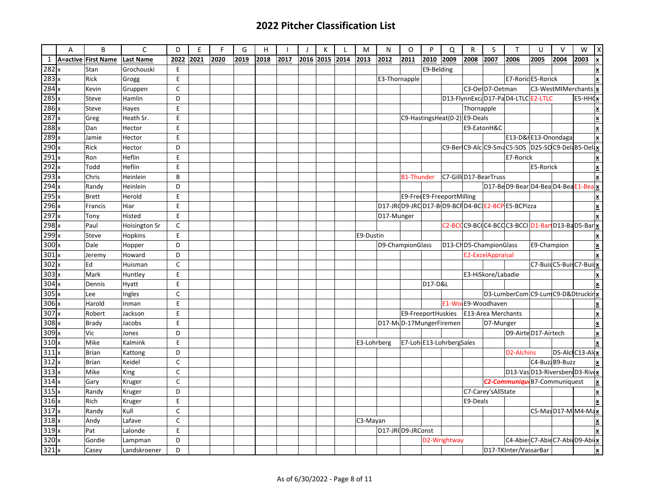|                  | A | B                   | $\mathsf{C}$     | D            | E    | F    | G    | H    |      |      | K    |      | M           | N          | $\circ$                       | P                                                                            | $\Omega$     | ${\sf R}$  | S                      | $\mathsf{T}$                                       | U           | $\vee$                                          | W          | $\boldsymbol{\mathsf{X}}$       |
|------------------|---|---------------------|------------------|--------------|------|------|------|------|------|------|------|------|-------------|------------|-------------------------------|------------------------------------------------------------------------------|--------------|------------|------------------------|----------------------------------------------------|-------------|-------------------------------------------------|------------|---------------------------------|
| $\mathbf{1}$     |   | A=active First Name | <b>Last Name</b> | 2022         | 2021 | 2020 | 2019 | 2018 | 2017 | 2016 | 2015 | 2014 | 2013        | 2012       | 2011                          | 2010                                                                         | 2009         | 2008       | 2007                   | 2006                                               | 2005        | 2004                                            | 2003       | <u> x</u>                       |
| 282              |   | Stan                | Grochouski       | E            |      |      |      |      |      |      |      |      |             |            |                               | E9-Belding                                                                   |              |            |                        |                                                    |             |                                                 |            | İΧ                              |
| $283 \times$     |   | Rick                | Grogg            | E            |      |      |      |      |      |      |      |      |             |            | E3-Thornapple                 |                                                                              |              |            |                        | E7-Roric E5-Rorick                                 |             |                                                 |            | x                               |
| 284              |   | Kevin               | Gruppen          | C            |      |      |      |      |      |      |      |      |             |            |                               |                                                                              |              |            | C3-OelD7-Oetman        |                                                    |             | C3-WestMIMerchants                              |            | X                               |
| 285x             |   | Steve               | Hamlin           | D            |      |      |      |      |      |      |      |      |             |            |                               |                                                                              |              |            |                        | D13-FlynnExcaD17-PaD4-LTLCE2-LTLC                  |             |                                                 | $ES-HH(X)$ |                                 |
| 286              |   | Steve               | Hayes            | E            |      |      |      |      |      |      |      |      |             |            |                               |                                                                              |              | Thornapple |                        |                                                    |             |                                                 |            | X                               |
| 287              |   | Greg                | Heath Sr.        | E            |      |      |      |      |      |      |      |      |             |            | C9-HastingsHeat(0-2) E9-Deals |                                                                              |              |            |                        |                                                    |             |                                                 |            | $\frac{\mathbf{x}}{\mathbf{r}}$ |
| 288              |   | Dan                 | Hector           | E            |      |      |      |      |      |      |      |      |             |            |                               |                                                                              |              |            | E9-EatonH&C            |                                                    |             |                                                 |            | X                               |
| $289$ x          |   | Jamie               | Hector           | E            |      |      |      |      |      |      |      |      |             |            |                               |                                                                              |              |            |                        | E13-D&I E13-Onondaga                               |             |                                                 |            | x                               |
| 290              |   | Rick                | Hector           | D            |      |      |      |      |      |      |      |      |             |            |                               |                                                                              |              |            |                        | C9-BerlC9-Alc C9-Sma C5-SOS D25-SOC9-Dela B5-Delax |             |                                                 |            |                                 |
| 291              |   | Ron                 | Heflin           | E            |      |      |      |      |      |      |      |      |             |            |                               |                                                                              |              |            |                        | E7-Rorick                                          |             |                                                 |            | lx                              |
| 292              |   | Todd                | Heflin           | E            |      |      |      |      |      |      |      |      |             |            |                               |                                                                              |              |            |                        |                                                    | E5-Rorick   |                                                 |            | X                               |
| $\overline{293}$ |   | Chris               | Heinlein         | B            |      |      |      |      |      |      |      |      |             |            | <b>B1-Thunder</b>             |                                                                              |              |            | C7-Gilli D17-BearTruss |                                                    |             |                                                 |            | X                               |
| $294 \times$     |   | Randy               | Heinlein         | D            |      |      |      |      |      |      |      |      |             |            |                               |                                                                              |              |            |                        | D17-BeD9-BearD4-BeaD4-BeaE1-BeaX                   |             |                                                 |            |                                 |
| 295              |   | Brett               | Herold           | E            |      |      |      |      |      |      |      |      |             |            |                               | E9-FreeE9-FreeportMilling<br>D17-JR(D9-JRCD17-B D9-BCFD4-BCLE2-BCPE5-BCPizza |              |            |                        |                                                    |             |                                                 |            | ×                               |
| 296              |   | Francis             | Hiar             | E            |      |      |      |      |      |      |      |      |             |            |                               |                                                                              |              |            |                        |                                                    |             |                                                 |            | ΙX                              |
| $\overline{297}$ |   | Tony                | Histed           | E            |      |      |      |      |      |      |      |      |             | D17-Munger |                               |                                                                              |              |            |                        |                                                    |             |                                                 |            |                                 |
| 298x             |   | Paul                | Hoisington Sr    | $\mathsf{C}$ |      |      |      |      |      |      |      |      |             |            |                               |                                                                              |              |            |                        | C2-BCCC9-BCC4-BCCC3-BCCID1-BartD13-BaD5-Barlx      |             |                                                 |            |                                 |
| 299              |   | Steve               | Hopkins          | E            |      |      |      |      |      |      |      |      | E9-Dustin   |            |                               |                                                                              |              |            |                        |                                                    |             |                                                 |            | X                               |
| 300              |   | Dale                | Hopper           | D            |      |      |      |      |      |      |      |      |             |            | D9-ChampionGlass              |                                                                              |              |            | D13-CHD5-ChampionGlass |                                                    | E9-Champion |                                                 |            | ×                               |
| $301 \times$     |   | Jeremy              | Howard           | D            |      |      |      |      |      |      |      |      |             |            |                               |                                                                              |              |            | E2-ExcelAppraisal      |                                                    |             |                                                 |            |                                 |
| 302x             |   | Ed                  | Huisman          | $\mathsf{C}$ |      |      |      |      |      |      |      |      |             |            |                               |                                                                              |              |            |                        |                                                    |             | C7-Buis C5-Buis C7-Buis x                       |            |                                 |
| $303 \times$     |   | Mark                | Huntley          | $\sf E$      |      |      |      |      |      |      |      |      |             |            |                               |                                                                              |              |            | E3-HiSkore/Labadie     |                                                    |             |                                                 |            |                                 |
| 304              |   | Dennis              | Hyatt            | E            |      |      |      |      |      |      |      |      |             |            |                               | D17-D&L                                                                      |              |            |                        |                                                    |             |                                                 |            | lx                              |
| 305              |   | Lee                 | Ingles           | $\mathsf{C}$ |      |      |      |      |      |      |      |      |             |            |                               |                                                                              |              |            |                        | D3-LumberCom C9-Lum C9-D&Dtruckir                  |             |                                                 |            |                                 |
| 306              |   | Harold              | Inman            | E            |      |      |      |      |      |      |      |      |             |            |                               |                                                                              |              |            | E1-Wo E9-Woodhaven     |                                                    |             |                                                 |            |                                 |
| 307              |   | Robert              | Jackson          | $\sf E$      |      |      |      |      |      |      |      |      |             |            | E9-FreeportHuskies            |                                                                              |              |            | E13-Area Merchants     |                                                    |             |                                                 |            | ×                               |
| 308              |   | Brady               | Jacobs           | E            |      |      |      |      |      |      |      |      |             |            | D17-MLD-17MungerFiremen       |                                                                              |              |            | D7-Munger              |                                                    |             |                                                 |            | ×                               |
| $\overline{309}$ |   | Vic                 | Jones            | D            |      |      |      |      |      |      |      |      |             |            |                               |                                                                              |              |            |                        | D9-AirteD17-Airtech                                |             |                                                 |            | ΙX                              |
| 310              |   | Mike                | Kalmink          | E            |      |      |      |      |      |      |      |      | E3-Lohrberg |            | E7-Loh E13-LohrbergSales      |                                                                              |              |            |                        |                                                    |             |                                                 |            |                                 |
| 311x             |   | Brian               | Kattong          | D            |      |      |      |      |      |      |      |      |             |            |                               |                                                                              |              |            |                        | D <sub>2</sub> -Alchins                            |             | D5-AlclC13-Aldx                                 |            |                                 |
| $312 \times$     |   | Brian               | Keidel           | C            |      |      |      |      |      |      |      |      |             |            |                               |                                                                              |              |            |                        |                                                    |             | C4-Buzz B9-Buzz                                 |            | lχ                              |
| 313              |   | Mike                | King             | $\mathsf{C}$ |      |      |      |      |      |      |      |      |             |            |                               |                                                                              |              |            |                        | D13-VasD13-Riversben D3-Rivex                      |             |                                                 |            |                                 |
| $314 \times$     |   | Gary                | Kruger           | C            |      |      |      |      |      |      |      |      |             |            |                               |                                                                              |              |            |                        | C2-Communique B7-Communiquest                      |             |                                                 |            | X                               |
| 315x             |   | Randy               | Kruger           | D            |      |      |      |      |      |      |      |      |             |            |                               |                                                                              |              |            | C7-Carey'sAllState     |                                                    |             |                                                 |            | ۱x.                             |
| 316x             |   | Rich                | Kruger           | E            |      |      |      |      |      |      |      |      |             |            |                               |                                                                              |              | E9-Deals   |                        |                                                    |             |                                                 |            | $\vert$ x                       |
| 317x             |   | Randy               | Kull             | C            |      |      |      |      |      |      |      |      |             |            |                               |                                                                              |              |            |                        |                                                    |             | $\overline{\text{C5-} \text{Mas}}$ D17-M M4-Max |            |                                 |
| 318x             |   | Andy                | Lafave           | $\mathsf{C}$ |      |      |      |      |      |      |      |      | C3-Mayan    |            |                               |                                                                              |              |            |                        |                                                    |             |                                                 |            | X                               |
| 319x             |   | Pat                 | Lalonde          | E            |      |      |      |      |      |      |      |      |             |            | D17-JR(D9-JRConst             |                                                                              |              |            |                        |                                                    |             |                                                 |            | x                               |
| 320              |   | Gordie              | Lampman          | D            |      |      |      |      |      |      |      |      |             |            |                               |                                                                              | D2-Wrightway |            |                        | C4-Abies C7-Abie C7-Abie D9-Abis                   |             |                                                 |            |                                 |
| 321              |   | Casey               | Landskroener     | D            |      |      |      |      |      |      |      |      |             |            |                               |                                                                              |              |            |                        | D17-TKInter/VassarBar                              |             |                                                 |            | x                               |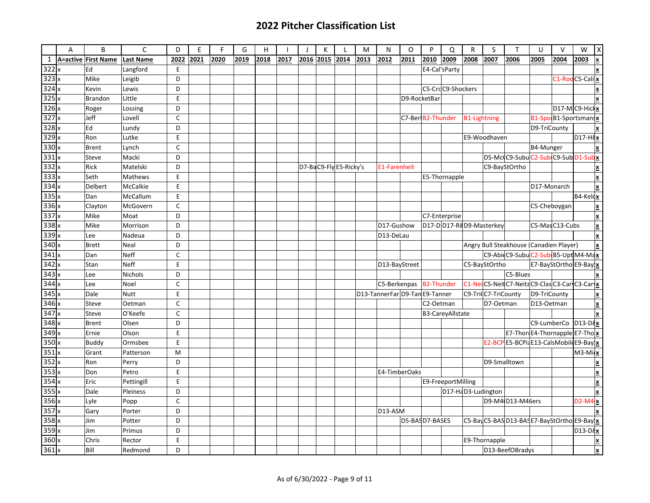|                          | A | B                   | $\mathsf{C}$     | D            | E    | F.   | G    | H    |      | К         |                        | M    | N                              | O                 | P                 | Q                  | $\mathsf{R}$        | S                       | $\mathsf{T}$                                 | U            | $\vee$         | W                      | X                                     |
|--------------------------|---|---------------------|------------------|--------------|------|------|------|------|------|-----------|------------------------|------|--------------------------------|-------------------|-------------------|--------------------|---------------------|-------------------------|----------------------------------------------|--------------|----------------|------------------------|---------------------------------------|
| $\mathbf{1}$             |   | A=active First Name | <b>Last Name</b> | 2022         | 2021 | 2020 | 2019 | 2018 | 2017 | 2016 2015 | 2014                   | 2013 | 2012                           | 2011              | 2010              | 2009               | 2008                | 2007                    | 2006                                         | 2005         | 2004           | 2003                   |                                       |
|                          |   | Ed                  | Langford         | E            |      |      |      |      |      |           |                        |      |                                |                   |                   | E4-Cal'sParty      |                     |                         |                                              |              |                |                        |                                       |
| $\frac{322}{323} \times$ |   | Mike                | Leigib           | D            |      |      |      |      |      |           |                        |      |                                |                   |                   |                    |                     |                         |                                              |              |                | C1-Roo C5-Cali x       |                                       |
| $324 \times$             |   | Kevin               | Lewis            | D            |      |      |      |      |      |           |                        |      |                                |                   |                   | C5-CrdC9-Shockers  |                     |                         |                                              |              |                |                        |                                       |
| 325x                     |   | Brandon             | Little           | E            |      |      |      |      |      |           |                        |      |                                | D9-RocketBar      |                   |                    |                     |                         |                                              |              |                |                        |                                       |
| $326 \times$             |   | Roger               | Lossing          | D            |      |      |      |      |      |           |                        |      |                                |                   |                   |                    |                     |                         |                                              |              |                | $D17-MC9-Hicl$         |                                       |
| 327                      |   | Jeff                | Lovell           | $\mathsf{C}$ |      |      |      |      |      |           |                        |      |                                | C7-Ber B2-Thunder |                   |                    | <b>B1-Lightning</b> |                         |                                              |              |                | B1-Spo B1-Sportsmans   |                                       |
| 328                      |   | Ed                  | Lundy            | D            |      |      |      |      |      |           |                        |      |                                |                   |                   |                    |                     |                         |                                              | D9-TriCounty |                |                        |                                       |
| 329x                     |   | Ron                 | Lutke            | E            |      |      |      |      |      |           |                        |      |                                |                   |                   |                    |                     | E9-Woodhaven            |                                              |              |                | D <sub>17-H</sub>      |                                       |
| $330 \times$             |   | <b>Brent</b>        | Lynch            | $\mathsf{C}$ |      |      |      |      |      |           |                        |      |                                |                   |                   |                    |                     |                         |                                              | B4-Munger    |                |                        | $\pmb{\mathsf{x}}$                    |
| 331                      |   | Steve               | Macki            | D            |      |      |      |      |      |           |                        |      |                                |                   |                   |                    |                     |                         | D5-Mc(C9-Subu C2-Sub C9-Sub D1-Sub x         |              |                |                        |                                       |
| 332                      |   | Rick                | Matelski         | D            |      |      |      |      |      |           | D7-BaC9-Fly E5-Ricky's |      | <b>E1-Farenheit</b>            |                   |                   |                    |                     |                         | C9-BayStOrtho                                |              |                |                        |                                       |
| 333)                     |   | Seth                | Mathews          | E            |      |      |      |      |      |           |                        |      |                                |                   |                   | E5-Thornapple      |                     |                         |                                              |              |                |                        |                                       |
| $334 \times$             |   | Delbert             | <b>McCalkie</b>  | E            |      |      |      |      |      |           |                        |      |                                |                   |                   |                    |                     |                         |                                              | D17-Monarch  |                |                        | $\underline{\mathbf{x}}$              |
| 335                      |   | Dan                 | McCallum         | E            |      |      |      |      |      |           |                        |      |                                |                   |                   |                    |                     |                         |                                              |              |                | $\sqrt{B4-Kel}$        |                                       |
| $336 \times$             |   | Clayton             | McGovern         | $\mathsf{C}$ |      |      |      |      |      |           |                        |      |                                |                   |                   |                    |                     |                         |                                              |              | C5-Cheboygan   |                        | $\boldsymbol{\underline{\mathsf{x}}}$ |
| $337 \times$             |   | Mike                | Moat             | D            |      |      |      |      |      |           |                        |      |                                |                   |                   | C7-Enterprise      |                     |                         |                                              |              |                |                        |                                       |
| $338 \times$             |   | Mike                | Morrison         | D            |      |      |      |      |      |           |                        |      | D17-Gushow                     |                   |                   |                    |                     | D17-DD17-R8D9-Masterkey |                                              |              | C5-MasC13-Cubs |                        | X                                     |
| 339                      |   | Lee                 | Nadeua           | D            |      |      |      |      |      |           |                        |      | D13-DeLau                      |                   |                   |                    |                     |                         |                                              |              |                |                        |                                       |
| 340                      |   | <b>Brett</b>        | Neal             | D            |      |      |      |      |      |           |                        |      |                                |                   |                   |                    |                     |                         | Angry Bull Steakhouse (Canadien Player)      |              |                |                        | $\overline{\mathbf{x}}$               |
| $341 \times$             |   | Dan                 | <b>Neff</b>      | $\mathsf C$  |      |      |      |      |      |           |                        |      |                                |                   |                   |                    |                     |                         | C9-AbidC9-SubuC2-Sub B5-Upt M4-Max           |              |                |                        |                                       |
| $342 \times$             |   | Stan                | <b>Neff</b>      | E            |      |      |      |      |      |           |                        |      | D13-BayStreet                  |                   |                   |                    |                     | C5-BayStOrtho           |                                              |              |                | E7-BayStOrtho E9-Bay x |                                       |
| $343 \times$             |   | Lee                 | <b>Nichols</b>   | D            |      |      |      |      |      |           |                        |      |                                |                   |                   |                    |                     |                         | C5-Blues                                     |              |                |                        |                                       |
| 344                      |   | Lee                 | Noel             | C            |      |      |      |      |      |           |                        |      | C5-Berkenpas                   |                   | <b>B2-Thunder</b> |                    | C <sub>1</sub> -Ne  |                         | C5-NeilC7-NeitzC9-ClasC3-CarC3-Caryx         |              |                |                        |                                       |
| 345                      |   | Dale                | <b>Nutt</b>      | E            |      |      |      |      |      |           |                        |      | D13-TannerFar D9-Tan E9-Tanner |                   |                   |                    |                     | C9-Tri(C7-TriCounty     |                                              | D9-TriCounty |                |                        |                                       |
| 346                      |   | Steve               | Oetman           | C            |      |      |      |      |      |           |                        |      |                                |                   | C2-Oetman         |                    |                     | D7-Oetman               |                                              | D13-Oetman   |                |                        |                                       |
| 347x                     |   | Steve               | O'Keefe          | $\mathsf{C}$ |      |      |      |      |      |           |                        |      |                                |                   |                   | B3-CareyAllstate   |                     |                         |                                              |              |                |                        |                                       |
| 348                      |   | <b>Brent</b>        | Olsen            | D            |      |      |      |      |      |           |                        |      |                                |                   |                   |                    |                     |                         |                                              |              | C9-LumberCo    | $D13-D8$               |                                       |
| 349                      |   | Ernie               | Olson            | E            |      |      |      |      |      |           |                        |      |                                |                   |                   |                    |                     |                         | E7-Thor E4-Thornapple E7-Tho x               |              |                |                        |                                       |
| $350 \times$             |   | <b>Buddy</b>        | Ormsbee          | E            |      |      |      |      |      |           |                        |      |                                |                   |                   |                    |                     |                         | E2-BCPE5-BCPi2E13-CalsMobileE9-Bay x         |              |                |                        |                                       |
| 351x                     |   | Grant               | Patterson        | M            |      |      |      |      |      |           |                        |      |                                |                   |                   |                    |                     |                         |                                              |              |                | $M3-Mi$                |                                       |
| 352x                     |   | Ron                 | Perry            | D            |      |      |      |      |      |           |                        |      |                                |                   |                   |                    |                     |                         | D9-Smalltown                                 |              |                |                        |                                       |
| 353                      |   | Don                 | Petro            | E            |      |      |      |      |      |           |                        |      | E4-TimberOaks                  |                   |                   |                    |                     |                         |                                              |              |                |                        |                                       |
| 354x                     |   | Eric                | Pettingill       | E            |      |      |      |      |      |           |                        |      |                                |                   |                   | E9-FreeportMilling |                     |                         |                                              |              |                |                        |                                       |
| 355x                     |   | Dale                | Pleiness         | D            |      |      |      |      |      |           |                        |      |                                |                   |                   |                    | D17-HaD3-Ludington  |                         |                                              |              |                |                        |                                       |
| 356x                     |   | Lyle                | Popp             | $\mathsf{C}$ |      |      |      |      |      |           |                        |      |                                |                   |                   |                    |                     |                         | D9-M4 D13-M46ers                             |              |                | $D2-M4$                |                                       |
| 357                      |   | Gary                | Porter           | D            |      |      |      |      |      |           |                        |      | D13-ASM                        |                   |                   |                    |                     |                         |                                              |              |                |                        | $\boldsymbol{\mathsf{x}}$             |
| 358                      |   | Jim                 | Potter           | D            |      |      |      |      |      |           |                        |      |                                |                   |                   |                    |                     |                         | C5-Bay C5-BAS D13-BAS E7-BayStOrtho E9-Bay x |              |                |                        |                                       |
| $359 \times$             |   | Jim                 | Primus           | D            |      |      |      |      |      |           |                        |      | D5-BASD7-BASES                 |                   |                   |                    |                     |                         |                                              |              |                | $\overline{D13-D8}$    |                                       |
| 360 x                    |   | Chris               | Rector           | E            |      |      |      |      |      |           |                        |      |                                |                   |                   |                    |                     | E9-Thornapple           |                                              |              |                |                        | $\underline{\textbf{x}}$              |
| 361x                     |   | Bill                | Redmond          | D            |      |      |      |      |      |           |                        |      |                                |                   |                   |                    |                     |                         | D13-BeefOBradys                              |              |                |                        | $\mathbf{x}$                          |
|                          |   |                     |                  |              |      |      |      |      |      |           |                        |      |                                |                   |                   |                    |                     |                         |                                              |              |                |                        |                                       |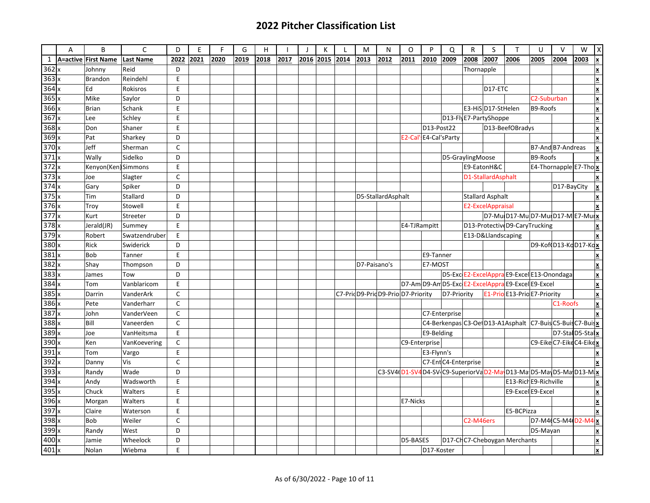|              | A        | B                   | $\mathsf{C}$     | D            | E    | F    | G    | H    |      | - 1 | К         | L    | M            | N                                | O            | P                      | Q                    | $\mathsf{R}$           | S                     | т                                                                  | U                        | $\vee$                             | W    | $\boldsymbol{\mathsf{X}}$ |
|--------------|----------|---------------------|------------------|--------------|------|------|------|------|------|-----|-----------|------|--------------|----------------------------------|--------------|------------------------|----------------------|------------------------|-----------------------|--------------------------------------------------------------------|--------------------------|------------------------------------|------|---------------------------|
| $\mathbf{1}$ | A=active | <b>First Name</b>   | <b>Last Name</b> | 2022         | 2021 | 2020 | 2019 | 2018 | 2017 |     | 2016 2015 | 2014 | 2013         | 2012                             | 2011         | 2010                   | 2009                 | 2008                   | 2007                  | 2006                                                               | 2005                     | 2004                               | 2003 | <u> x</u>                 |
| 362x         |          | Johnny              | Reid             | D            |      |      |      |      |      |     |           |      |              |                                  |              |                        |                      | Thornapple             |                       |                                                                    |                          |                                    |      | x                         |
| 363x         |          | <b>Brandon</b>      | Reindehl         | E            |      |      |      |      |      |     |           |      |              |                                  |              |                        |                      |                        |                       |                                                                    |                          |                                    |      | $\overline{\mathbf{x}}$   |
| 364x         |          | Ed                  | Rokisros         | E            |      |      |      |      |      |     |           |      |              |                                  |              |                        |                      |                        | D17-ETC               |                                                                    |                          |                                    |      | ×                         |
| 365x         |          | Mike                | Saylor           | D            |      |      |      |      |      |     |           |      |              |                                  |              |                        |                      |                        |                       |                                                                    | C <sub>2</sub> -Suburban |                                    |      | x                         |
| $366 \times$ |          | <b>Brian</b>        | Schank           | E            |      |      |      |      |      |     |           |      |              |                                  |              |                        |                      |                        | E3-HiSD17-StHelen     |                                                                    | B9-Roofs                 |                                    |      | ×                         |
| 367x         |          | Lee                 | Schley           | E            |      |      |      |      |      |     |           |      |              |                                  |              |                        |                      |                        | D13-FlyE7-PartyShoppe |                                                                    |                          |                                    |      | $\vert$ x                 |
| $368 \times$ |          | Don                 | Shaner           | E            |      |      |      |      |      |     |           |      |              |                                  |              | D13-Post22             |                      |                        |                       | D13-BeefOBradys                                                    |                          |                                    |      | $\vert$ x                 |
| 369x         |          | Pat                 | Sharkey          | D            |      |      |      |      |      |     |           |      |              |                                  |              | E2-Cal' E4-Cal's Party |                      |                        |                       |                                                                    |                          |                                    |      | X                         |
| $370 \times$ |          | Jeff                | Sherman          | $\mathsf{C}$ |      |      |      |      |      |     |           |      |              |                                  |              |                        |                      |                        |                       |                                                                    |                          | B7-And B7-Andreas                  |      | ×                         |
| 371x         |          | Wally               | Sidelko          | D            |      |      |      |      |      |     |           |      |              |                                  |              |                        | D5-GraylingMoose     |                        |                       |                                                                    | B9-Roofs                 |                                    |      | x                         |
| 372x         |          | Kenyon(Ken) Simmons |                  | E            |      |      |      |      |      |     |           |      |              |                                  |              |                        |                      |                        | E9-EatonH&C           |                                                                    |                          | E4-Thornapple E7-Tho x             |      |                           |
| 373x         |          | Joe                 | Slagter          | $\mathsf{C}$ |      |      |      |      |      |     |           |      |              |                                  |              |                        |                      |                        | D1-StallardAsphalt    |                                                                    |                          |                                    |      |                           |
| $374 \times$ |          | Gary                | Spiker           | D            |      |      |      |      |      |     |           |      |              |                                  |              |                        |                      |                        |                       |                                                                    |                          | D17-BayCity                        |      | ×                         |
| 375x         |          | Tim                 | Stallard         | D            |      |      |      |      |      |     |           |      |              | D5-StallardAsphalt               |              |                        |                      |                        | Stallard Asphalt      |                                                                    |                          |                                    |      | lx.                       |
| 376x         |          | Troy                | Stowell          | E            |      |      |      |      |      |     |           |      |              |                                  |              |                        |                      |                        | E2-ExcelAppraisal     |                                                                    |                          |                                    |      |                           |
| 377x         |          | Kurt                | Streeter         | D            |      |      |      |      |      |     |           |      |              |                                  |              |                        |                      |                        |                       | D7-MuD17-MuD7-MuD17-ME7-MuLX                                       |                          |                                    |      |                           |
| 378x         |          | Jerald(JR)          | Summey           | $\sf E$      |      |      |      |      |      |     |           |      |              |                                  | E4-TJRampitt |                        |                      |                        |                       | D13-ProtectiveD9-CaryTrucking                                      |                          |                                    |      | X                         |
| $379 \times$ |          | Robert              | Swatzendruber    | E            |      |      |      |      |      |     |           |      |              |                                  |              |                        |                      |                        | E13-D&Llandscaping    |                                                                    |                          |                                    |      |                           |
| 380 x        |          | Rick                | Swiderick        | D            |      |      |      |      |      |     |           |      |              |                                  |              |                        |                      |                        |                       |                                                                    |                          | D9-Kof(D13-KcD17-Kc <mark>x</mark> |      |                           |
| 381x         |          | <b>Bob</b>          | Tanner           | E            |      |      |      |      |      |     |           |      |              |                                  |              | E9-Tanner              |                      |                        |                       |                                                                    |                          |                                    |      | ×                         |
| $382 \times$ |          | Shay                | Thompson         | D            |      |      |      |      |      |     |           |      | D7-Paisano's |                                  |              | E7-MOST                |                      |                        |                       |                                                                    |                          |                                    |      | x                         |
| $383 \times$ |          | James               | Tow              | D            |      |      |      |      |      |     |           |      |              |                                  |              |                        |                      |                        |                       | D5-Exc E2-ExcelAppra E9-Excel E13-Onondaga                         |                          |                                    |      | $\underline{\mathbf{x}}$  |
| $384 \times$ |          | Tom                 | Vanblaricom      | E            |      |      |      |      |      |     |           |      |              |                                  |              |                        |                      |                        |                       | D7-Am D9-Am D5-Exc E2-ExcelAppra E9-Excel E9-Excel                 |                          |                                    |      | x                         |
| 385x         |          | Darrin              | VanderArk        | C            |      |      |      |      |      |     |           |      |              | C7-PricD9-PricD9-PrioD7-Priority |              |                        | D7-Priority          |                        |                       | E1-Prio E13-Prio E7-Priority                                       |                          |                                    |      | $\vert$ x                 |
| 386x         |          | Pete                | Vanderharr       | C            |      |      |      |      |      |     |           |      |              |                                  |              |                        |                      |                        |                       |                                                                    |                          | C1-Roofs                           |      | ×                         |
| 387x         |          | John                | VanderVeen       | $\mathsf{C}$ |      |      |      |      |      |     |           |      |              |                                  |              |                        | C7-Enterprise        |                        |                       |                                                                    |                          |                                    |      |                           |
| $388 \times$ |          | Bill                | Vaneerden        | $\mathsf{C}$ |      |      |      |      |      |     |           |      |              |                                  |              |                        |                      |                        |                       | C4-Berkenpas C3-Oe D13-A1Asphalt C7-Buis C5-Buis C7-Buist          |                          |                                    |      |                           |
| $389 \times$ |          | Joe                 | VanHeitsma       | E            |      |      |      |      |      |     |           |      |              |                                  |              | E9-Belding             |                      |                        |                       |                                                                    |                          | D7-Stal D5-Stal x                  |      |                           |
| 390x         |          | Ken                 | VanKoevering     | $\mathsf{C}$ |      |      |      |      |      |     |           |      |              |                                  |              | C9-Enterprise          |                      |                        |                       |                                                                    |                          | C9-Eike C7-Eike C4-Eike x          |      |                           |
| 391x         |          | Tom                 | Vargo            | E            |      |      |      |      |      |     |           |      |              |                                  |              | E3-Flynn's             |                      |                        |                       |                                                                    |                          |                                    |      | X                         |
| 392          |          | Danny               | Vis              | C            |      |      |      |      |      |     |           |      |              |                                  |              |                        | C7-Ent C4-Enterprise |                        |                       |                                                                    |                          |                                    |      |                           |
| $393 \times$ |          | Randy               | Wade             | D            |      |      |      |      |      |     |           |      |              |                                  |              |                        |                      |                        |                       | C3-SV4 D1-SV4 D4-SV C9-SuperiorVa D2-Ma D13-Ma D5-Ma D5-Ma D13-M X |                          |                                    |      |                           |
| $394 \times$ |          | Andy                | Wadsworth        | E            |      |      |      |      |      |     |           |      |              |                                  |              |                        |                      |                        |                       | E13-Rich E9-Richville                                              |                          |                                    |      | İΧ                        |
| 395x         |          | Chuck               | Walters          | E            |      |      |      |      |      |     |           |      |              |                                  |              |                        |                      |                        |                       | E9-Excel E9-Excel                                                  |                          |                                    |      | ∣x                        |
| 396x         |          | Morgan              | Walters          | E            |      |      |      |      |      |     |           |      |              |                                  | E7-Nicks     |                        |                      |                        |                       |                                                                    |                          |                                    |      | X                         |
| 397x         |          | Claire              | Waterson         | $\sf E$      |      |      |      |      |      |     |           |      |              |                                  |              |                        |                      |                        |                       | E5-BCPizza                                                         |                          |                                    |      | x                         |
| 398x         |          | <b>Bob</b>          | Weiler           | C            |      |      |      |      |      |     |           |      |              |                                  |              |                        |                      | C <sub>2</sub> -M46ers |                       |                                                                    |                          | D7-M4(C5-M4 D2-M4 x                |      |                           |
| 399x         |          | Randy               | West             | D            |      |      |      |      |      |     |           |      |              |                                  |              |                        |                      |                        |                       |                                                                    | D5-Mayan                 |                                    |      | L                         |
| $400 \times$ |          | Jamie               | Wheelock         | D            |      |      |      |      |      |     |           |      |              |                                  | D5-BASES     |                        |                      |                        |                       | D17-ChC7-Cheboygan Merchants                                       |                          |                                    |      | ≝                         |
| $401 \times$ |          | Nolan               | Wiebma           | E            |      |      |      |      |      |     |           |      |              |                                  |              | D17-Koster             |                      |                        |                       |                                                                    |                          |                                    |      | x                         |